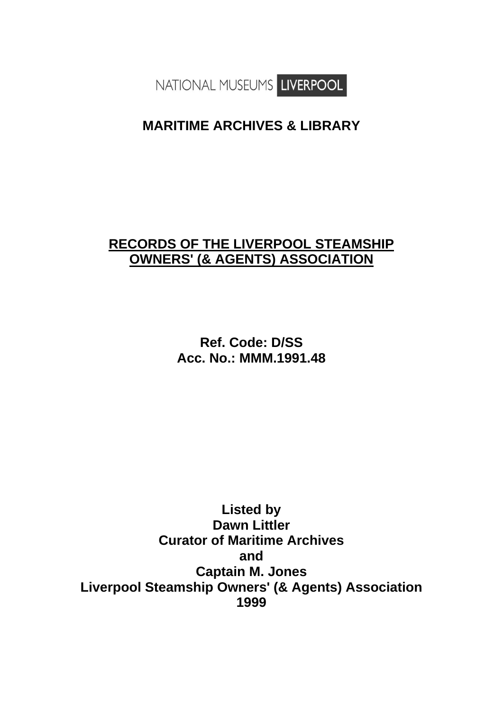#### **MARITIME ARCHIVES & LIBRARY**

#### **RECORDS OF THE LIVERPOOL STEAMSHIP OWNERS' (& AGENTS) ASSOCIATION**

**Ref. Code: D/SS Acc. No.: MMM.1991.48**

**Listed by Dawn Littler Curator of Maritime Archives and Captain M. Jones Liverpool Steamship Owners' (& Agents) Association 1999**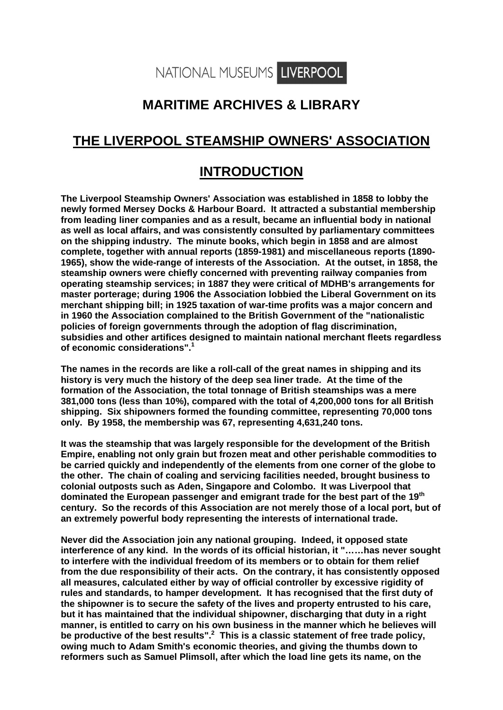#### **MARITIME ARCHIVES & LIBRARY**

#### **THE LIVERPOOL STEAMSHIP OWNERS' ASSOCIATION**

#### **INTRODUCTION**

**The Liverpool Steamship Owners' Association was established in 1858 to lobby the newly formed Mersey Docks & Harbour Board. It attracted a substantial membership from leading liner companies and as a result, became an influential body in national as well as local affairs, and was consistently consulted by parliamentary committees on the shipping industry. The minute books, which begin in 1858 and are almost complete, together with annual reports (1859-1981) and miscellaneous reports (1890- 1965), show the wide-range of interests of the Association. At the outset, in 1858, the steamship owners were chiefly concerned with preventing railway companies from operating steamship services; in 1887 they were critical of MDHB's arrangements for master porterage; during 1906 the Association lobbied the Liberal Government on its merchant shipping bill; in 1925 taxation of war-time profits was a major concern and in 1960 the Association complained to the British Government of the "nationalistic policies of foreign governments through the adoption of flag discrimination, subsidies and other artifices designed to maintain national merchant fleets regardless of economic considerations".<sup>1</sup>**

**The names in the records are like a roll-call of the great names in shipping and its history is very much the history of the deep sea liner trade. At the time of the formation of the Association, the total tonnage of British steamships was a mere 381,000 tons (less than 10%), compared with the total of 4,200,000 tons for all British shipping. Six shipowners formed the founding committee, representing 70,000 tons only. By 1958, the membership was 67, representing 4,631,240 tons.** 

**It was the steamship that was largely responsible for the development of the British Empire, enabling not only grain but frozen meat and other perishable commodities to be carried quickly and independently of the elements from one corner of the globe to the other. The chain of coaling and servicing facilities needed, brought business to colonial outposts such as Aden, Singapore and Colombo. It was Liverpool that dominated the European passenger and emigrant trade for the best part of the 19th century. So the records of this Association are not merely those of a local port, but of an extremely powerful body representing the interests of international trade.** 

**Never did the Association join any national grouping. Indeed, it opposed state interference of any kind. In the words of its official historian, it "……has never sought to interfere with the individual freedom of its members or to obtain for them relief from the due responsibility of their acts. On the contrary, it has consistently opposed all measures, calculated either by way of official controller by excessive rigidity of rules and standards, to hamper development. It has recognised that the first duty of the shipowner is to secure the safety of the lives and property entrusted to his care, but it has maintained that the individual shipowner, discharging that duty in a right manner, is entitled to carry on his own business in the manner which he believes will be productive of the best results".2 This is a classic statement of free trade policy, owing much to Adam Smith's economic theories, and giving the thumbs down to reformers such as Samuel Plimsoll, after which the load line gets its name, on the**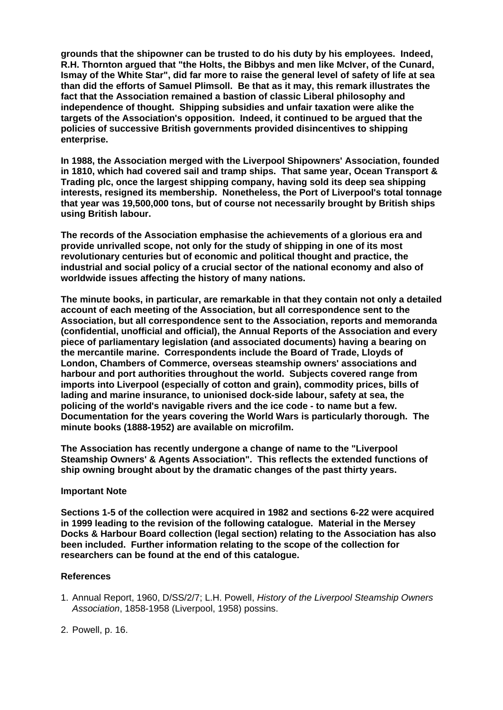**grounds that the shipowner can be trusted to do his duty by his employees. Indeed, R.H. Thornton argued that "the Holts, the Bibbys and men like McIver, of the Cunard, Ismay of the White Star", did far more to raise the general level of safety of life at sea than did the efforts of Samuel Plimsoll. Be that as it may, this remark illustrates the fact that the Association remained a bastion of classic Liberal philosophy and independence of thought. Shipping subsidies and unfair taxation were alike the targets of the Association's opposition. Indeed, it continued to be argued that the policies of successive British governments provided disincentives to shipping enterprise.** 

**In 1988, the Association merged with the Liverpool Shipowners' Association, founded in 1810, which had covered sail and tramp ships. That same year, Ocean Transport & Trading plc, once the largest shipping company, having sold its deep sea shipping interests, resigned its membership. Nonetheless, the Port of Liverpool's total tonnage that year was 19,500,000 tons, but of course not necessarily brought by British ships using British labour.** 

**The records of the Association emphasise the achievements of a glorious era and provide unrivalled scope, not only for the study of shipping in one of its most revolutionary centuries but of economic and political thought and practice, the industrial and social policy of a crucial sector of the national economy and also of worldwide issues affecting the history of many nations.** 

**The minute books, in particular, are remarkable in that they contain not only a detailed account of each meeting of the Association, but all correspondence sent to the Association, but all correspondence sent to the Association, reports and memoranda (confidential, unofficial and official), the Annual Reports of the Association and every piece of parliamentary legislation (and associated documents) having a bearing on the mercantile marine. Correspondents include the Board of Trade, Lloyds of London, Chambers of Commerce, overseas steamship owners' associations and harbour and port authorities throughout the world. Subjects covered range from imports into Liverpool (especially of cotton and grain), commodity prices, bills of lading and marine insurance, to unionised dock-side labour, safety at sea, the policing of the world's navigable rivers and the ice code - to name but a few. Documentation for the years covering the World Wars is particularly thorough. The minute books (1888-1952) are available on microfilm.** 

**The Association has recently undergone a change of name to the "Liverpool Steamship Owners' & Agents Association". This reflects the extended functions of ship owning brought about by the dramatic changes of the past thirty years.** 

#### **Important Note**

**Sections 1-5 of the collection were acquired in 1982 and sections 6-22 were acquired in 1999 leading to the revision of the following catalogue. Material in the Mersey Docks & Harbour Board collection (legal section) relating to the Association has also been included. Further information relating to the scope of the collection for researchers can be found at the end of this catalogue.** 

#### **References**

- 1. Annual Report, 1960, D/SS/2/7; L.H. Powell, *History of the Liverpool Steamship Owners Association*, 1858-1958 (Liverpool, 1958) possins.
- 2. Powell, p. 16.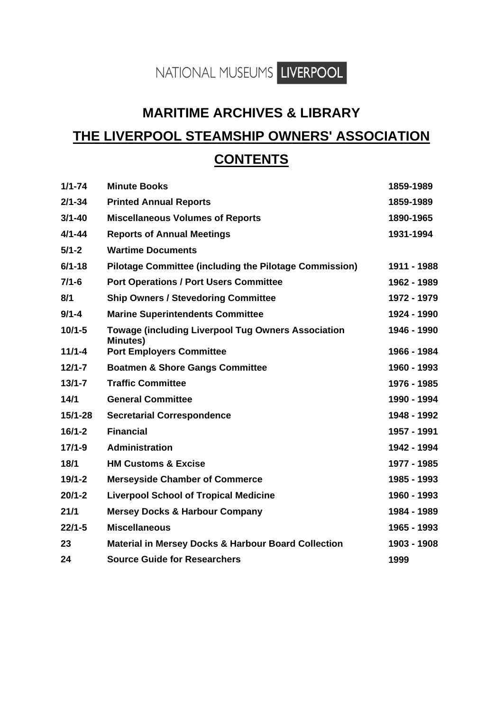#### **MARITIME ARCHIVES & LIBRARY**

# **THE LIVERPOOL STEAMSHIP OWNERS' ASSOCIATION**

#### **CONTENTS**

| $1/1 - 74$  | <b>Minute Books</b>                                                          | 1859-1989   |
|-------------|------------------------------------------------------------------------------|-------------|
| $2/1 - 34$  | <b>Printed Annual Reports</b>                                                | 1859-1989   |
| $3/1 - 40$  | <b>Miscellaneous Volumes of Reports</b>                                      | 1890-1965   |
| $4/1 - 44$  | <b>Reports of Annual Meetings</b>                                            | 1931-1994   |
| $5/1 - 2$   | <b>Wartime Documents</b>                                                     |             |
| $6/1 - 18$  | <b>Pilotage Committee (including the Pilotage Commission)</b>                | 1911 - 1988 |
| $7/1 - 6$   | <b>Port Operations / Port Users Committee</b>                                | 1962 - 1989 |
| 8/1         | <b>Ship Owners / Stevedoring Committee</b>                                   | 1972 - 1979 |
| $9/1 - 4$   | <b>Marine Superintendents Committee</b>                                      | 1924 - 1990 |
| $10/1 - 5$  | <b>Towage (including Liverpool Tug Owners Association</b><br><b>Minutes)</b> | 1946 - 1990 |
| $11/1 - 4$  | <b>Port Employers Committee</b>                                              | 1966 - 1984 |
| $12/1 - 7$  | <b>Boatmen &amp; Shore Gangs Committee</b>                                   | 1960 - 1993 |
| $13/1 - 7$  | <b>Traffic Committee</b>                                                     | 1976 - 1985 |
| 14/1        | <b>General Committee</b>                                                     | 1990 - 1994 |
| $15/1 - 28$ | <b>Secretarial Correspondence</b>                                            | 1948 - 1992 |
| $16/1 - 2$  | <b>Financial</b>                                                             | 1957 - 1991 |
| $17/1 - 9$  | <b>Administration</b>                                                        | 1942 - 1994 |
| 18/1        | <b>HM Customs &amp; Excise</b>                                               | 1977 - 1985 |
| $19/1 - 2$  | <b>Merseyside Chamber of Commerce</b>                                        | 1985 - 1993 |
| $20/1 - 2$  | <b>Liverpool School of Tropical Medicine</b>                                 | 1960 - 1993 |
| 21/1        | <b>Mersey Docks &amp; Harbour Company</b>                                    | 1984 - 1989 |
| $22/1 - 5$  | <b>Miscellaneous</b>                                                         | 1965 - 1993 |
| 23          | <b>Material in Mersey Docks &amp; Harbour Board Collection</b>               | 1903 - 1908 |
| 24          | <b>Source Guide for Researchers</b>                                          | 1999        |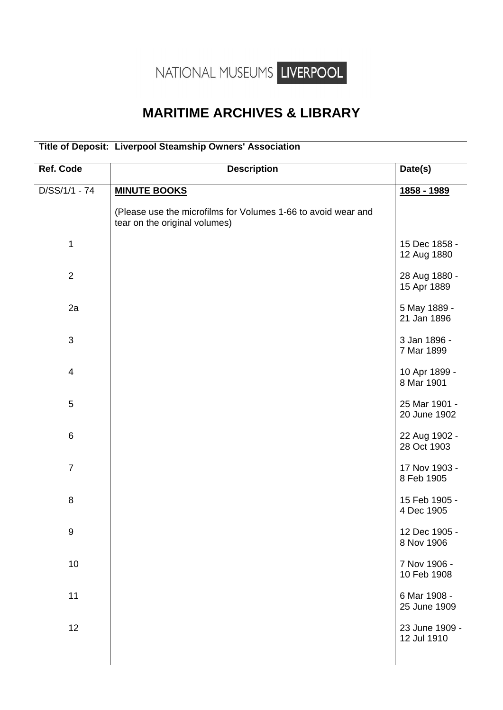#### **MARITIME ARCHIVES & LIBRARY**

| Ref. Code        | <b>Description</b>                                                                             | Date(s)                       |
|------------------|------------------------------------------------------------------------------------------------|-------------------------------|
| $D/SS/1/1 - 74$  | <b>MINUTE BOOKS</b>                                                                            | 1858 - 1989                   |
|                  | (Please use the microfilms for Volumes 1-66 to avoid wear and<br>tear on the original volumes) |                               |
| $\mathbf 1$      |                                                                                                | 15 Dec 1858 -<br>12 Aug 1880  |
| $\sqrt{2}$       |                                                                                                | 28 Aug 1880 -<br>15 Apr 1889  |
| 2a               |                                                                                                | 5 May 1889 -<br>21 Jan 1896   |
| 3                |                                                                                                | 3 Jan 1896 -<br>7 Mar 1899    |
| $\overline{4}$   |                                                                                                | 10 Apr 1899 -<br>8 Mar 1901   |
| 5                |                                                                                                | 25 Mar 1901 -<br>20 June 1902 |
| $\,6$            |                                                                                                | 22 Aug 1902 -<br>28 Oct 1903  |
| $\overline{7}$   |                                                                                                | 17 Nov 1903 -<br>8 Feb 1905   |
| $\bf 8$          |                                                                                                | 15 Feb 1905 -<br>4 Dec 1905   |
| $\boldsymbol{9}$ |                                                                                                | 12 Dec 1905 -<br>8 Nov 1906   |
| 10               |                                                                                                | 7 Nov 1906 -<br>10 Feb 1908   |
| 11               |                                                                                                | 6 Mar 1908 -<br>25 June 1909  |
| 12               |                                                                                                | 23 June 1909 -<br>12 Jul 1910 |
|                  |                                                                                                |                               |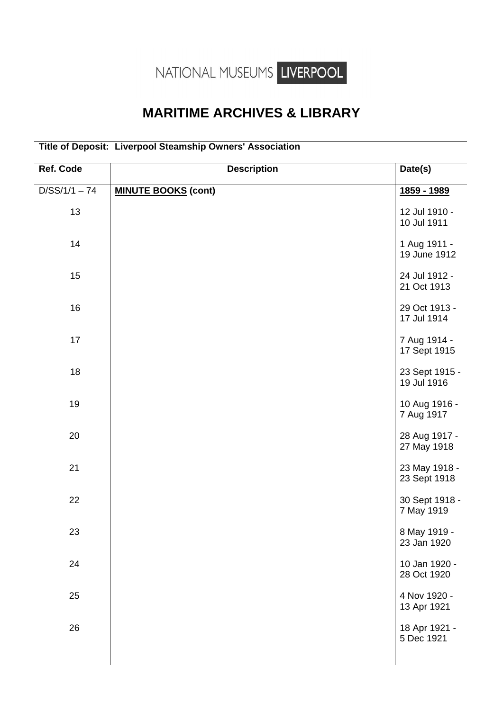#### **MARITIME ARCHIVES & LIBRARY**

| Ref. Code       | <b>Description</b>         | Date(s)                       |
|-----------------|----------------------------|-------------------------------|
| $D/SS/1/1 - 74$ | <b>MINUTE BOOKS (cont)</b> | 1859 - 1989                   |
| 13              |                            | 12 Jul 1910 -<br>10 Jul 1911  |
| 14              |                            | 1 Aug 1911 -<br>19 June 1912  |
| 15              |                            | 24 Jul 1912 -<br>21 Oct 1913  |
| 16              |                            | 29 Oct 1913 -<br>17 Jul 1914  |
| 17              |                            | 7 Aug 1914 -<br>17 Sept 1915  |
| 18              |                            | 23 Sept 1915 -<br>19 Jul 1916 |
| 19              |                            | 10 Aug 1916 -<br>7 Aug 1917   |
| 20              |                            | 28 Aug 1917 -<br>27 May 1918  |
| 21              |                            | 23 May 1918 -<br>23 Sept 1918 |
| 22              |                            | 30 Sept 1918 -<br>7 May 1919  |
| 23              |                            | 8 May 1919 -<br>23 Jan 1920   |
| 24              |                            | 10 Jan 1920 -<br>28 Oct 1920  |
| 25              |                            | 4 Nov 1920 -<br>13 Apr 1921   |
| 26              |                            | 18 Apr 1921 -<br>5 Dec 1921   |
|                 |                            |                               |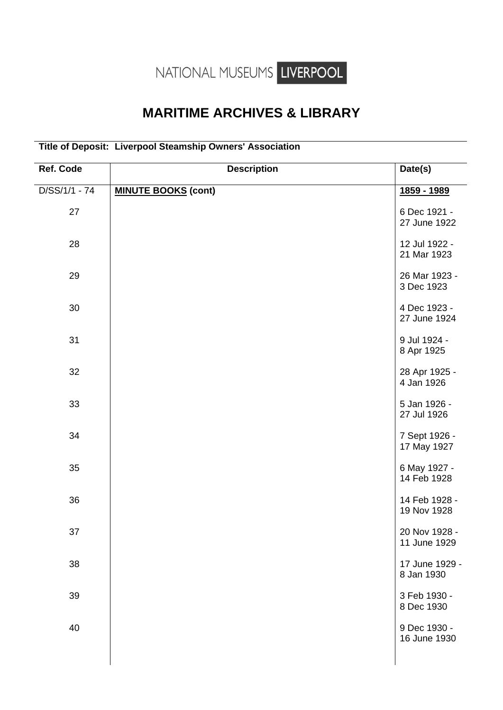#### **MARITIME ARCHIVES & LIBRARY**

| Ref. Code       | <b>Description</b>         | Date(s)                       |
|-----------------|----------------------------|-------------------------------|
| $D/SS/1/1 - 74$ | <b>MINUTE BOOKS (cont)</b> | 1859 - 1989                   |
| 27              |                            | 6 Dec 1921 -<br>27 June 1922  |
| 28              |                            | 12 Jul 1922 -<br>21 Mar 1923  |
| 29              |                            | 26 Mar 1923 -<br>3 Dec 1923   |
| 30              |                            | 4 Dec 1923 -<br>27 June 1924  |
| 31              |                            | 9 Jul 1924 -<br>8 Apr 1925    |
| 32              |                            | 28 Apr 1925 -<br>4 Jan 1926   |
| 33              |                            | 5 Jan 1926 -<br>27 Jul 1926   |
| 34              |                            | 7 Sept 1926 -<br>17 May 1927  |
| 35              |                            | 6 May 1927 -<br>14 Feb 1928   |
| 36              |                            | 14 Feb 1928 -<br>19 Nov 1928  |
| 37              |                            | 20 Nov 1928 -<br>11 June 1929 |
| 38              |                            | 17 June 1929 -<br>8 Jan 1930  |
| 39              |                            | 3 Feb 1930 -<br>8 Dec 1930    |
| 40              |                            | 9 Dec 1930 -<br>16 June 1930  |
|                 |                            |                               |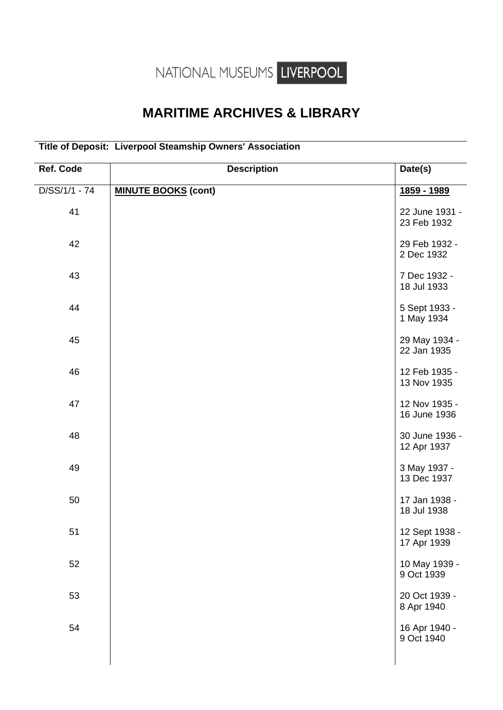#### **MARITIME ARCHIVES & LIBRARY**

| Ref. Code       | <b>Description</b>         | Date(s)                       |
|-----------------|----------------------------|-------------------------------|
| $D/SS/1/1 - 74$ | <b>MINUTE BOOKS (cont)</b> | 1859 - 1989                   |
| 41              |                            | 22 June 1931 -<br>23 Feb 1932 |
| 42              |                            | 29 Feb 1932 -<br>2 Dec 1932   |
| 43              |                            | 7 Dec 1932 -<br>18 Jul 1933   |
| 44              |                            | 5 Sept 1933 -<br>1 May 1934   |
| 45              |                            | 29 May 1934 -<br>22 Jan 1935  |
| 46              |                            | 12 Feb 1935 -<br>13 Nov 1935  |
| 47              |                            | 12 Nov 1935 -<br>16 June 1936 |
| 48              |                            | 30 June 1936 -<br>12 Apr 1937 |
| 49              |                            | 3 May 1937 -<br>13 Dec 1937   |
| 50              |                            | 17 Jan 1938 -<br>18 Jul 1938  |
| 51              |                            | 12 Sept 1938 -<br>17 Apr 1939 |
| 52              |                            | 10 May 1939 -<br>9 Oct 1939   |
| 53              |                            | 20 Oct 1939 -<br>8 Apr 1940   |
| 54              |                            | 16 Apr 1940 -<br>9 Oct 1940   |
|                 |                            |                               |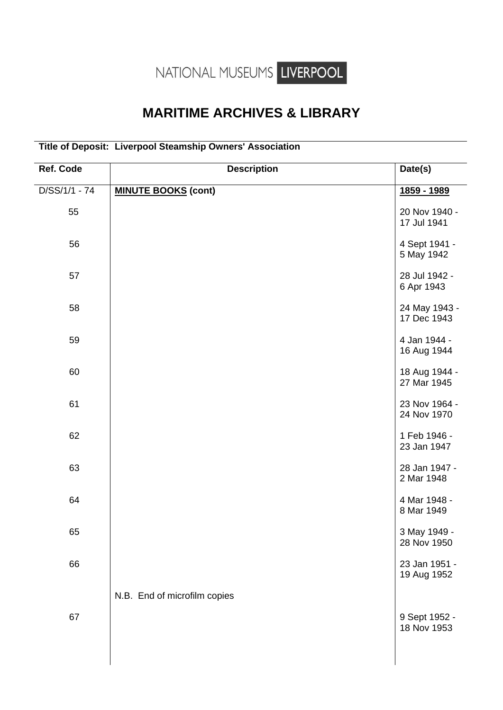### **MARITIME ARCHIVES & LIBRARY**

| <b>Ref. Code</b> | <b>Description</b>           | Date(s)                      |
|------------------|------------------------------|------------------------------|
| $D/SS/1/1 - 74$  | <b>MINUTE BOOKS (cont)</b>   | 1859 - 1989                  |
| 55               |                              | 20 Nov 1940 -<br>17 Jul 1941 |
| 56               |                              | 4 Sept 1941 -<br>5 May 1942  |
| 57               |                              | 28 Jul 1942 -<br>6 Apr 1943  |
| 58               |                              | 24 May 1943 -<br>17 Dec 1943 |
| 59               |                              | 4 Jan 1944 -<br>16 Aug 1944  |
| 60               |                              | 18 Aug 1944 -<br>27 Mar 1945 |
| 61               |                              | 23 Nov 1964 -<br>24 Nov 1970 |
| 62               |                              | 1 Feb 1946 -<br>23 Jan 1947  |
| 63               |                              | 28 Jan 1947 -<br>2 Mar 1948  |
| 64               |                              | 4 Mar 1948 -<br>8 Mar 1949   |
| 65               |                              | 3 May 1949 -<br>28 Nov 1950  |
| 66               |                              | 23 Jan 1951 -<br>19 Aug 1952 |
|                  | N.B. End of microfilm copies |                              |
| 67               |                              | 9 Sept 1952 -<br>18 Nov 1953 |
|                  |                              |                              |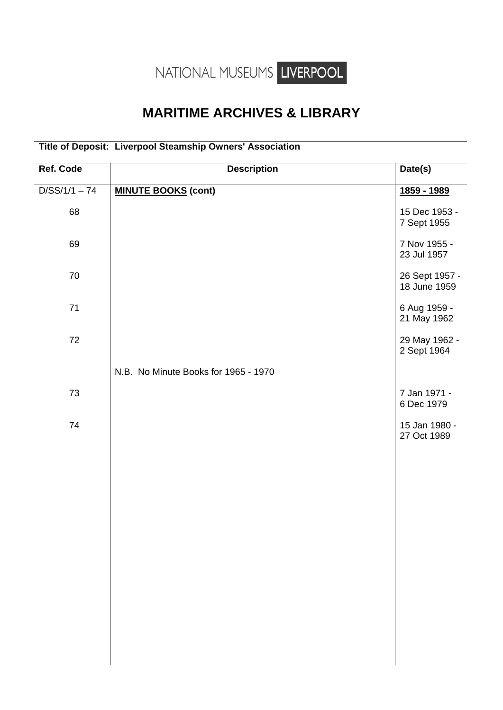### **MARITIME ARCHIVES & LIBRARY**

| Ref. Code       | <b>Description</b>                   | Date(s)                        |
|-----------------|--------------------------------------|--------------------------------|
| $D/SS/1/1 - 74$ | <b>MINUTE BOOKS (cont)</b>           | 1859 - 1989                    |
| 68              |                                      | 15 Dec 1953 -<br>7 Sept 1955   |
| 69              |                                      | 7 Nov 1955 -<br>23 Jul 1957    |
| 70              |                                      | 26 Sept 1957 -<br>18 June 1959 |
| 71              |                                      | 6 Aug 1959 -<br>21 May 1962    |
| 72              |                                      | 29 May 1962 -<br>2 Sept 1964   |
|                 | N.B. No Minute Books for 1965 - 1970 |                                |
| 73              |                                      | 7 Jan 1971 -<br>6 Dec 1979     |
| 74              |                                      | 15 Jan 1980 -<br>27 Oct 1989   |
|                 |                                      |                                |
|                 |                                      |                                |
|                 |                                      |                                |
|                 |                                      |                                |
|                 |                                      |                                |
|                 |                                      |                                |
|                 |                                      |                                |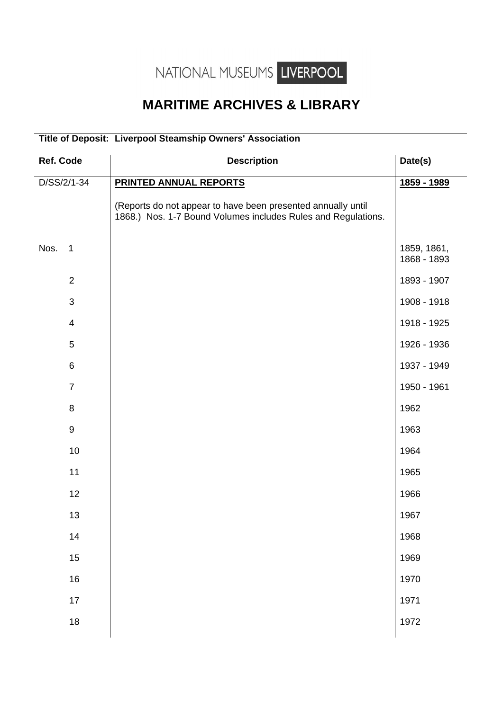| Title of Deposit: Liverpool Steamship Owners' Association |                                                                                                                               |                            |  |
|-----------------------------------------------------------|-------------------------------------------------------------------------------------------------------------------------------|----------------------------|--|
| Ref. Code                                                 | <b>Description</b>                                                                                                            | Date(s)                    |  |
| D/SS/2/1-34                                               | PRINTED ANNUAL REPORTS                                                                                                        | 1859 - 1989                |  |
|                                                           | (Reports do not appear to have been presented annually until<br>1868.) Nos. 1-7 Bound Volumes includes Rules and Regulations. |                            |  |
| Nos.<br>$\overline{\phantom{1}}$                          |                                                                                                                               | 1859, 1861,<br>1868 - 1893 |  |
| $\overline{2}$                                            |                                                                                                                               | 1893 - 1907                |  |
| 3                                                         |                                                                                                                               | 1908 - 1918                |  |
| $\overline{\mathbf{4}}$                                   |                                                                                                                               | 1918 - 1925                |  |
| 5                                                         |                                                                                                                               | 1926 - 1936                |  |
| 6                                                         |                                                                                                                               | 1937 - 1949                |  |
| $\overline{7}$                                            |                                                                                                                               | 1950 - 1961                |  |
| 8                                                         |                                                                                                                               | 1962                       |  |
| $\boldsymbol{9}$                                          |                                                                                                                               | 1963                       |  |
| 10                                                        |                                                                                                                               | 1964                       |  |
| 11                                                        |                                                                                                                               | 1965                       |  |
| 12                                                        |                                                                                                                               | 1966                       |  |
| 13                                                        |                                                                                                                               | 1967                       |  |
| 14                                                        |                                                                                                                               | 1968                       |  |
| 15                                                        |                                                                                                                               | 1969                       |  |
| 16                                                        |                                                                                                                               | 1970                       |  |
| 17                                                        |                                                                                                                               | 1971                       |  |
| 18                                                        |                                                                                                                               | 1972                       |  |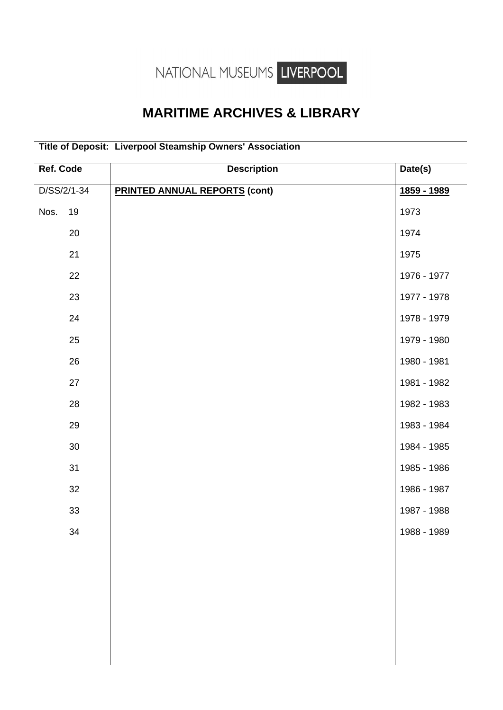### **MARITIME ARCHIVES & LIBRARY**

| Ref. Code    | <b>Description</b>                   | Date(s)     |
|--------------|--------------------------------------|-------------|
| D/SS/2/1-34  | <b>PRINTED ANNUAL REPORTS (cont)</b> | 1859 - 1989 |
| $19$<br>Nos. |                                      | 1973        |
| $20\,$       |                                      | 1974        |
| 21           |                                      | 1975        |
| 22           |                                      | 1976 - 1977 |
| 23           |                                      | 1977 - 1978 |
| 24           |                                      | 1978 - 1979 |
| 25           |                                      | 1979 - 1980 |
| 26           |                                      | 1980 - 1981 |
| 27           |                                      | 1981 - 1982 |
| 28           |                                      | 1982 - 1983 |
| 29           |                                      | 1983 - 1984 |
| $30\,$       |                                      | 1984 - 1985 |
| 31           |                                      | 1985 - 1986 |
| 32           |                                      | 1986 - 1987 |
| 33           |                                      | 1987 - 1988 |
| 34           |                                      | 1988 - 1989 |
|              |                                      |             |
|              |                                      |             |
|              |                                      |             |
|              |                                      |             |
|              |                                      |             |
|              |                                      |             |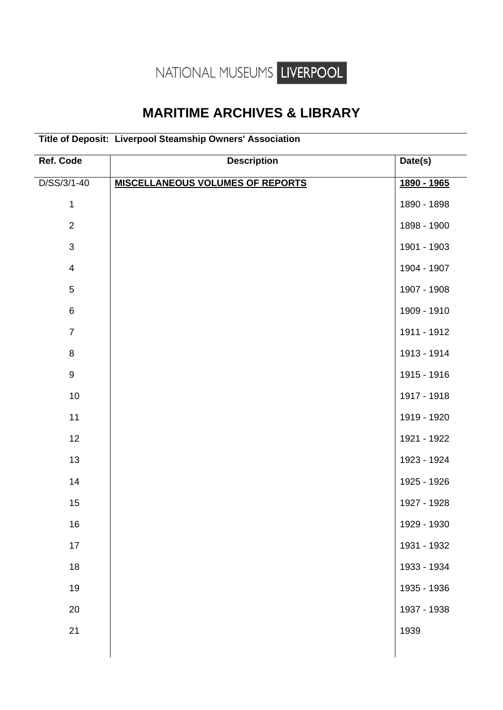#### **MARITIME ARCHIVES & LIBRARY**

| Ref. Code               | <b>Description</b>                      | Date(s)     |
|-------------------------|-----------------------------------------|-------------|
| D/SS/3/1-40             | <b>MISCELLANEOUS VOLUMES OF REPORTS</b> | 1890 - 1965 |
| 1                       |                                         | 1890 - 1898 |
| $\sqrt{2}$              |                                         | 1898 - 1900 |
| $\mathbf{3}$            |                                         | 1901 - 1903 |
| $\overline{\mathbf{4}}$ |                                         | 1904 - 1907 |
| $\sqrt{5}$              |                                         | 1907 - 1908 |
| $\,6\,$                 |                                         | 1909 - 1910 |
| $\overline{7}$          |                                         | 1911 - 1912 |
| $\,8\,$                 |                                         | 1913 - 1914 |
| $\boldsymbol{9}$        |                                         | 1915 - 1916 |
| $10$                    |                                         | 1917 - 1918 |
| 11                      |                                         | 1919 - 1920 |
| 12                      |                                         | 1921 - 1922 |
| 13                      |                                         | 1923 - 1924 |
| 14                      |                                         | 1925 - 1926 |
| 15                      |                                         | 1927 - 1928 |
| $16$                    |                                         | 1929 - 1930 |
| 17                      |                                         | 1931 - 1932 |
| 18                      |                                         | 1933 - 1934 |
| 19                      |                                         | 1935 - 1936 |
| $20\,$                  |                                         | 1937 - 1938 |
| 21                      |                                         | 1939        |
|                         |                                         |             |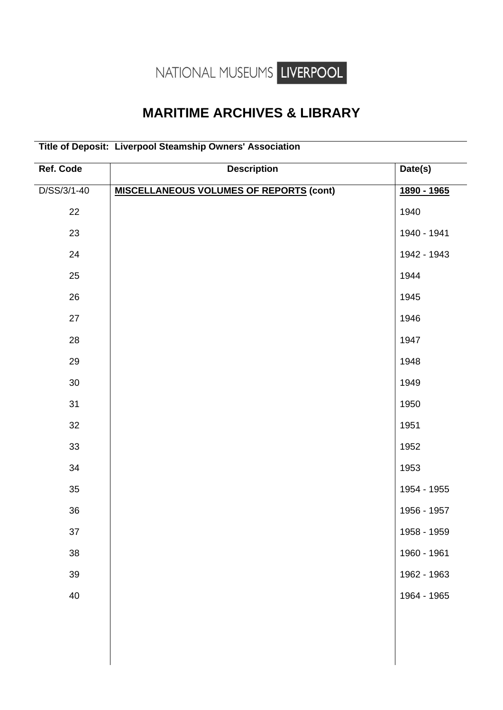### **MARITIME ARCHIVES & LIBRARY**

| Ref. Code   | <b>Description</b>                             | Date(s)     |
|-------------|------------------------------------------------|-------------|
| D/SS/3/1-40 | <b>MISCELLANEOUS VOLUMES OF REPORTS (cont)</b> | 1890 - 1965 |
| 22          |                                                | 1940        |
| 23          |                                                | 1940 - 1941 |
| 24          |                                                | 1942 - 1943 |
| 25          |                                                | 1944        |
| 26          |                                                | 1945        |
| 27          |                                                | 1946        |
| 28          |                                                | 1947        |
| 29          |                                                | 1948        |
| $30\,$      |                                                | 1949        |
| 31          |                                                | 1950        |
| $32\,$      |                                                | 1951        |
| $33\,$      |                                                | 1952        |
| 34          |                                                | 1953        |
| 35          |                                                | 1954 - 1955 |
| 36          |                                                | 1956 - 1957 |
| 37          |                                                | 1958 - 1959 |
| 38          |                                                | 1960 - 1961 |
| $39\,$      |                                                | 1962 - 1963 |
| 40          |                                                | 1964 - 1965 |
|             |                                                |             |
|             |                                                |             |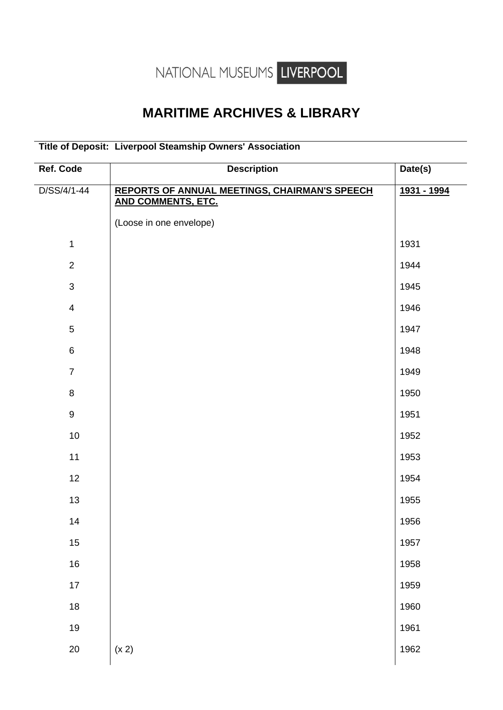#### **MARITIME ARCHIVES & LIBRARY**

| Ref. Code               | <b>Description</b>                                                                | Date(s)     |
|-------------------------|-----------------------------------------------------------------------------------|-------------|
| D/SS/4/1-44             | <b>REPORTS OF ANNUAL MEETINGS, CHAIRMAN'S SPEECH</b><br><b>AND COMMENTS, ETC.</b> | 1931 - 1994 |
|                         | (Loose in one envelope)                                                           |             |
| $\mathbf{1}$            |                                                                                   | 1931        |
| $\overline{2}$          |                                                                                   | 1944        |
| $\mathfrak{S}$          |                                                                                   | 1945        |
| $\overline{\mathbf{4}}$ |                                                                                   | 1946        |
| 5                       |                                                                                   | 1947        |
| $\,6\,$                 |                                                                                   | 1948        |
| $\overline{7}$          |                                                                                   | 1949        |
| $\,8\,$                 |                                                                                   | 1950        |
| $\boldsymbol{9}$        |                                                                                   | 1951        |
| $10$                    |                                                                                   | 1952        |
| 11                      |                                                                                   | 1953        |
| 12                      |                                                                                   | 1954        |
| 13                      |                                                                                   | 1955        |
| 14                      |                                                                                   | 1956        |
| 15                      |                                                                                   | 1957        |
| 16                      |                                                                                   | 1958        |
| $17$                    |                                                                                   | 1959        |
| 18                      |                                                                                   | 1960        |
| $19$                    |                                                                                   | 1961        |
| $20\,$                  | (x 2)                                                                             | 1962        |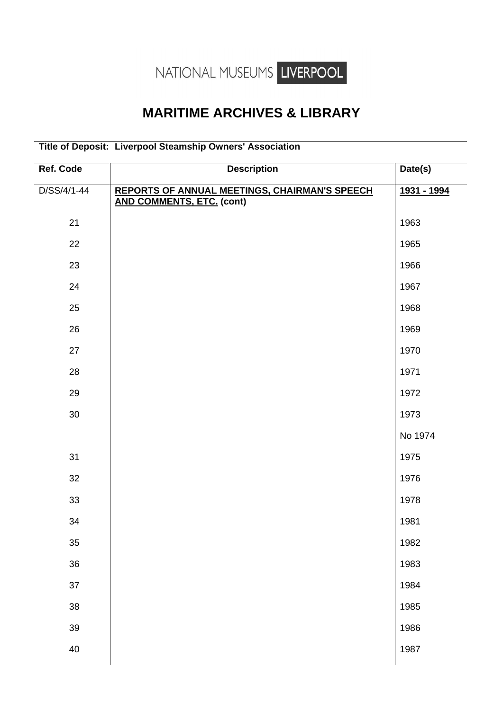#### **MARITIME ARCHIVES & LIBRARY**

| Ref. Code   | <b>Description</b>                                                                       | Date(s)     |
|-------------|------------------------------------------------------------------------------------------|-------------|
| D/SS/4/1-44 | <b>REPORTS OF ANNUAL MEETINGS, CHAIRMAN'S SPEECH</b><br><b>AND COMMENTS, ETC. (cont)</b> | 1931 - 1994 |
| 21          |                                                                                          | 1963        |
| 22          |                                                                                          | 1965        |
| 23          |                                                                                          | 1966        |
| 24          |                                                                                          | 1967        |
| 25          |                                                                                          | 1968        |
| 26          |                                                                                          | 1969        |
| 27          |                                                                                          | 1970        |
| 28          |                                                                                          | 1971        |
| 29          |                                                                                          | 1972        |
| $30\,$      |                                                                                          | 1973        |
|             |                                                                                          | No 1974     |
| 31          |                                                                                          | 1975        |
| 32          |                                                                                          | 1976        |
| 33          |                                                                                          | 1978        |
| 34          |                                                                                          | 1981        |
| 35          |                                                                                          | 1982        |
| 36          |                                                                                          | 1983        |
| 37          |                                                                                          | 1984        |
| 38          |                                                                                          | 1985        |
| 39          |                                                                                          | 1986        |
| 40          |                                                                                          | 1987        |
|             |                                                                                          |             |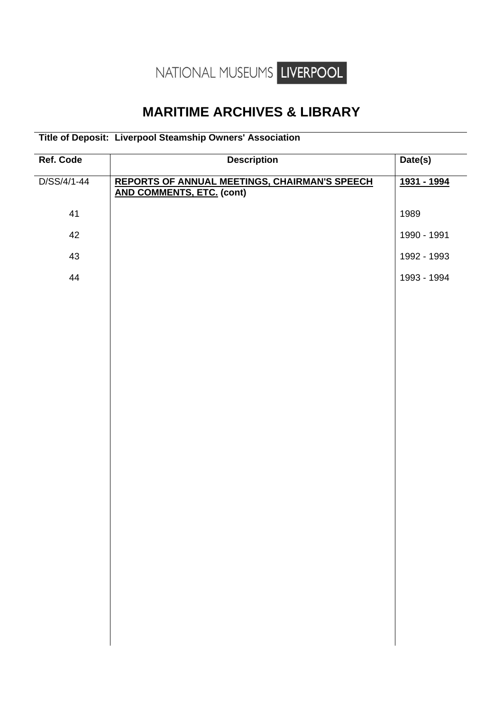#### **MARITIME ARCHIVES & LIBRARY**

| Ref. Code   | <b>Description</b>                                   | Date(s)     |
|-------------|------------------------------------------------------|-------------|
| D/SS/4/1-44 | <b>REPORTS OF ANNUAL MEETINGS, CHAIRMAN'S SPEECH</b> | 1931 - 1994 |
|             | <b>AND COMMENTS, ETC. (cont)</b>                     |             |
| 41          |                                                      | 1989        |
| 42          |                                                      | 1990 - 1991 |
| 43          |                                                      | 1992 - 1993 |
| 44          |                                                      | 1993 - 1994 |
|             |                                                      |             |
|             |                                                      |             |
|             |                                                      |             |
|             |                                                      |             |
|             |                                                      |             |
|             |                                                      |             |
|             |                                                      |             |
|             |                                                      |             |
|             |                                                      |             |
|             |                                                      |             |
|             |                                                      |             |
|             |                                                      |             |
|             |                                                      |             |
|             |                                                      |             |
|             |                                                      |             |
|             |                                                      |             |
|             |                                                      |             |
|             |                                                      |             |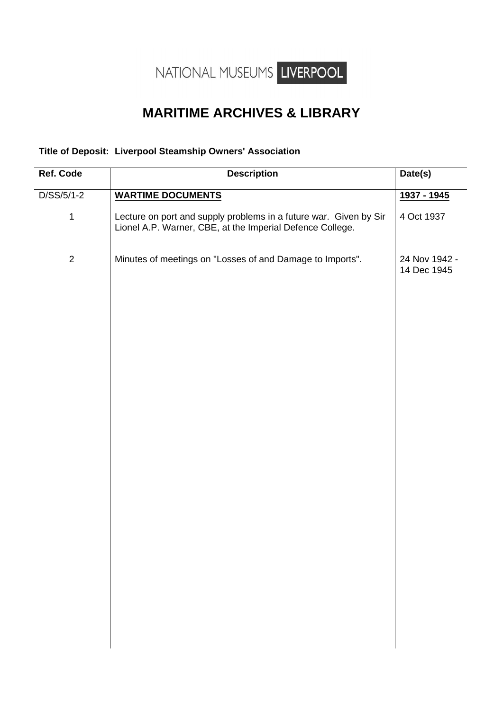#### **MARITIME ARCHIVES & LIBRARY**

# **Title of Deposit: Liverpool Steamship Owners' Association Ref. Code** Description Description Date(s) D/SS/5/1-2 **WARTIME DOCUMENTS 1937 - 1945** 1 Lecture on port and supply problems in a future war. Given by Sir Lionel A.P. Warner, CBE, at the Imperial Defence College. 4 Oct 1937 2 | Minutes of meetings on "Losses of and Damage to Imports". | 24 Nov 1942 -14 Dec 1945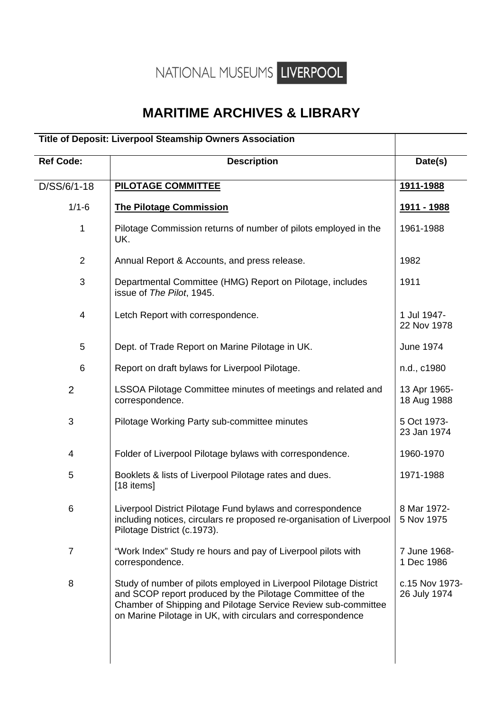| Title of Deposit: Liverpool Steamship Owners Association |                                                                                                                                                                                                                                                                |                                |
|----------------------------------------------------------|----------------------------------------------------------------------------------------------------------------------------------------------------------------------------------------------------------------------------------------------------------------|--------------------------------|
| <b>Ref Code:</b>                                         | <b>Description</b>                                                                                                                                                                                                                                             | Date(s)                        |
| D/SS/6/1-18                                              | <b>PILOTAGE COMMITTEE</b>                                                                                                                                                                                                                                      | 1911-1988                      |
| $1/1 - 6$                                                | <b>The Pilotage Commission</b>                                                                                                                                                                                                                                 | <u> 1911 - 1988</u>            |
| 1                                                        | Pilotage Commission returns of number of pilots employed in the<br>UK.                                                                                                                                                                                         | 1961-1988                      |
| $\overline{2}$                                           | Annual Report & Accounts, and press release.                                                                                                                                                                                                                   | 1982                           |
| 3                                                        | Departmental Committee (HMG) Report on Pilotage, includes<br>issue of The Pilot, 1945.                                                                                                                                                                         | 1911                           |
| 4                                                        | Letch Report with correspondence.                                                                                                                                                                                                                              | 1 Jul 1947-<br>22 Nov 1978     |
| 5                                                        | Dept. of Trade Report on Marine Pilotage in UK.                                                                                                                                                                                                                | <b>June 1974</b>               |
| 6                                                        | Report on draft bylaws for Liverpool Pilotage.                                                                                                                                                                                                                 | n.d., c1980                    |
| $\overline{2}$                                           | LSSOA Pilotage Committee minutes of meetings and related and<br>correspondence.                                                                                                                                                                                | 13 Apr 1965-<br>18 Aug 1988    |
| 3                                                        | Pilotage Working Party sub-committee minutes                                                                                                                                                                                                                   | 5 Oct 1973-<br>23 Jan 1974     |
| $\overline{4}$                                           | Folder of Liverpool Pilotage bylaws with correspondence.                                                                                                                                                                                                       | 1960-1970                      |
| 5                                                        | Booklets & lists of Liverpool Pilotage rates and dues.<br>[18 items]                                                                                                                                                                                           | 1971-1988                      |
| 6                                                        | Liverpool District Pilotage Fund bylaws and correspondence<br>including notices, circulars re proposed re-organisation of Liverpool<br>Pilotage District (c.1973).                                                                                             | 8 Mar 1972-<br>5 Nov 1975      |
| 7                                                        | "Work Index" Study re hours and pay of Liverpool pilots with<br>correspondence.                                                                                                                                                                                | 7 June 1968-<br>1 Dec 1986     |
| 8                                                        | Study of number of pilots employed in Liverpool Pilotage District<br>and SCOP report produced by the Pilotage Committee of the<br>Chamber of Shipping and Pilotage Service Review sub-committee<br>on Marine Pilotage in UK, with circulars and correspondence | c.15 Nov 1973-<br>26 July 1974 |
|                                                          |                                                                                                                                                                                                                                                                |                                |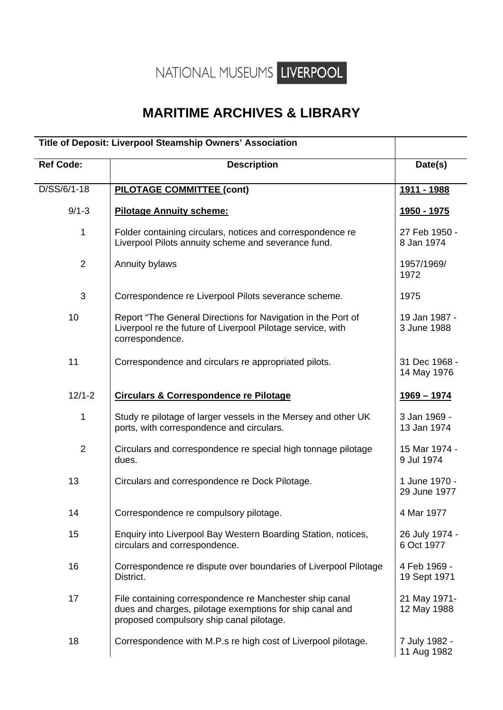| Title of Deposit: Liverpool Steamship Owners' Association |                                                                                                                                                                 |                               |
|-----------------------------------------------------------|-----------------------------------------------------------------------------------------------------------------------------------------------------------------|-------------------------------|
| <b>Ref Code:</b>                                          | <b>Description</b>                                                                                                                                              | Date(s)                       |
| D/SS/6/1-18                                               | <b>PILOTAGE COMMITTEE (cont)</b>                                                                                                                                | 1911 - 1988                   |
| $9/1 - 3$                                                 | <b>Pilotage Annuity scheme:</b>                                                                                                                                 | <u> 1950 - 1975</u>           |
| 1                                                         | Folder containing circulars, notices and correspondence re<br>Liverpool Pilots annuity scheme and severance fund.                                               | 27 Feb 1950 -<br>8 Jan 1974   |
| $\overline{2}$                                            | Annuity bylaws                                                                                                                                                  | 1957/1969/<br>1972            |
| 3                                                         | Correspondence re Liverpool Pilots severance scheme.                                                                                                            | 1975                          |
| 10                                                        | Report "The General Directions for Navigation in the Port of<br>Liverpool re the future of Liverpool Pilotage service, with<br>correspondence.                  | 19 Jan 1987 -<br>3 June 1988  |
| 11                                                        | Correspondence and circulars re appropriated pilots.                                                                                                            | 31 Dec 1968 -<br>14 May 1976  |
| $12/1 - 2$                                                | <b>Circulars &amp; Correspondence re Pilotage</b>                                                                                                               | $1969 - 1974$                 |
| 1                                                         | Study re pilotage of larger vessels in the Mersey and other UK<br>ports, with correspondence and circulars.                                                     | 3 Jan 1969 -<br>13 Jan 1974   |
| $\overline{2}$                                            | Circulars and correspondence re special high tonnage pilotage<br>dues.                                                                                          | 15 Mar 1974 -<br>9 Jul 1974   |
| 13                                                        | Circulars and correspondence re Dock Pilotage.                                                                                                                  | 1 June 1970 -<br>29 June 1977 |
| 14                                                        | Correspondence re compulsory pilotage.                                                                                                                          | 4 Mar 1977                    |
| 15                                                        | Enquiry into Liverpool Bay Western Boarding Station, notices,<br>circulars and correspondence.                                                                  | 26 July 1974 -<br>6 Oct 1977  |
| 16                                                        | Correspondence re dispute over boundaries of Liverpool Pilotage<br>District.                                                                                    | 4 Feb 1969 -<br>19 Sept 1971  |
| 17                                                        | File containing correspondence re Manchester ship canal<br>dues and charges, pilotage exemptions for ship canal and<br>proposed compulsory ship canal pilotage. | 21 May 1971-<br>12 May 1988   |
| 18                                                        | Correspondence with M.P.s re high cost of Liverpool pilotage.                                                                                                   | 7 July 1982 -<br>11 Aug 1982  |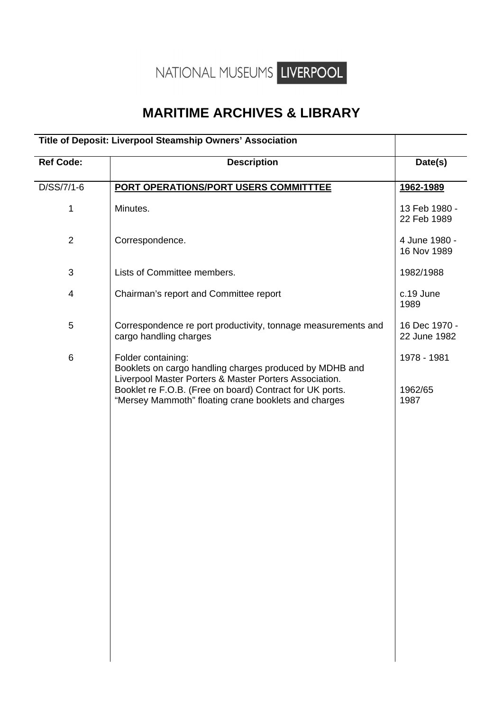| Title of Deposit: Liverpool Steamship Owners' Association |                                                                                                                                         |                               |
|-----------------------------------------------------------|-----------------------------------------------------------------------------------------------------------------------------------------|-------------------------------|
| <b>Ref Code:</b>                                          | <b>Description</b>                                                                                                                      | Date(s)                       |
| $D/SS/7/1-6$                                              | PORT OPERATIONS/PORT USERS COMMITTTEE                                                                                                   | 1962-1989                     |
| 1                                                         | Minutes.                                                                                                                                | 13 Feb 1980 -<br>22 Feb 1989  |
| $\overline{2}$                                            | Correspondence.                                                                                                                         | 4 June 1980 -<br>16 Nov 1989  |
| $\sqrt{3}$                                                | Lists of Committee members.                                                                                                             | 1982/1988                     |
| $\overline{4}$                                            | Chairman's report and Committee report                                                                                                  | c.19 June<br>1989             |
| $\mathbf 5$                                               | Correspondence re port productivity, tonnage measurements and<br>cargo handling charges                                                 | 16 Dec 1970 -<br>22 June 1982 |
| $6\phantom{1}6$                                           | Folder containing:<br>Booklets on cargo handling charges produced by MDHB and<br>Liverpool Master Porters & Master Porters Association. | 1978 - 1981                   |
|                                                           | Booklet re F.O.B. (Free on board) Contract for UK ports.<br>"Mersey Mammoth" floating crane booklets and charges                        | 1962/65<br>1987               |
|                                                           |                                                                                                                                         |                               |
|                                                           |                                                                                                                                         |                               |
|                                                           |                                                                                                                                         |                               |
|                                                           |                                                                                                                                         |                               |
|                                                           |                                                                                                                                         |                               |
|                                                           |                                                                                                                                         |                               |
|                                                           |                                                                                                                                         |                               |
|                                                           |                                                                                                                                         |                               |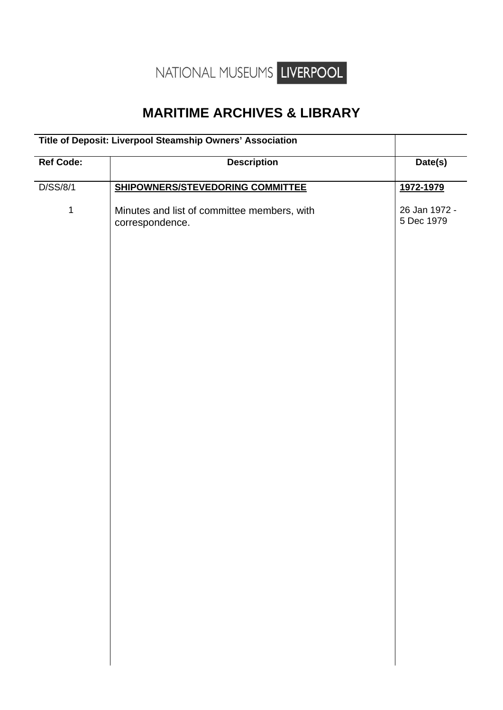| Title of Deposit: Liverpool Steamship Owners' Association |                                                                |                             |
|-----------------------------------------------------------|----------------------------------------------------------------|-----------------------------|
| <b>Ref Code:</b>                                          | <b>Description</b>                                             | Date(s)                     |
| D/SS/8/1                                                  | SHIPOWNERS/STEVEDORING COMMITTEE                               | 1972-1979                   |
| $\mathbf 1$                                               | Minutes and list of committee members, with<br>correspondence. | 26 Jan 1972 -<br>5 Dec 1979 |
|                                                           |                                                                |                             |
|                                                           |                                                                |                             |
|                                                           |                                                                |                             |
|                                                           |                                                                |                             |
|                                                           |                                                                |                             |
|                                                           |                                                                |                             |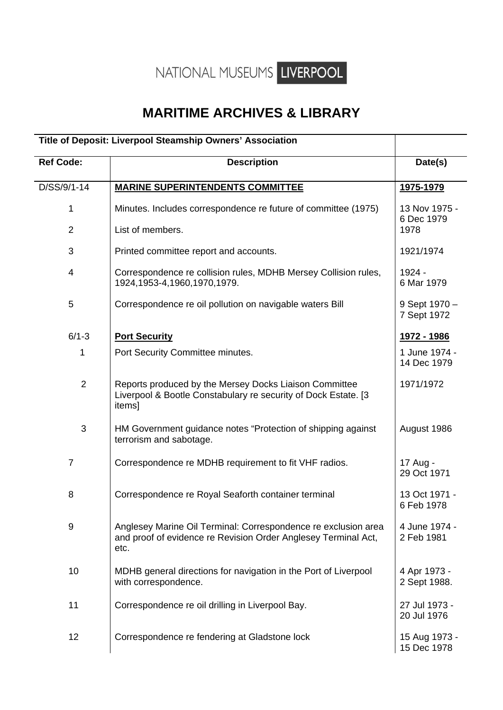| Title of Deposit: Liverpool Steamship Owners' Association |                                                                                                                                          |                              |
|-----------------------------------------------------------|------------------------------------------------------------------------------------------------------------------------------------------|------------------------------|
| <b>Ref Code:</b>                                          | <b>Description</b>                                                                                                                       | Date(s)                      |
| D/SS/9/1-14                                               | <b>MARINE SUPERINTENDENTS COMMITTEE</b>                                                                                                  | 1975-1979                    |
| 1                                                         | Minutes. Includes correspondence re future of committee (1975)                                                                           | 13 Nov 1975 -<br>6 Dec 1979  |
| $\overline{2}$                                            | List of members.                                                                                                                         | 1978                         |
| 3                                                         | Printed committee report and accounts.                                                                                                   | 1921/1974                    |
| $\overline{4}$                                            | Correspondence re collision rules, MDHB Mersey Collision rules,<br>1924, 1953-4, 1960, 1970, 1979.                                       | 1924 -<br>6 Mar 1979         |
| 5                                                         | Correspondence re oil pollution on navigable waters Bill                                                                                 | 9 Sept 1970 -<br>7 Sept 1972 |
| $6/1 - 3$                                                 | <b>Port Security</b>                                                                                                                     | 1972 - 1986                  |
| 1                                                         | Port Security Committee minutes.                                                                                                         | 1 June 1974 -<br>14 Dec 1979 |
| $\overline{2}$                                            | Reports produced by the Mersey Docks Liaison Committee<br>Liverpool & Bootle Constabulary re security of Dock Estate. [3<br>items]       | 1971/1972                    |
| 3                                                         | HM Government guidance notes "Protection of shipping against<br>terrorism and sabotage.                                                  | August 1986                  |
| $\overline{7}$                                            | Correspondence re MDHB requirement to fit VHF radios.                                                                                    | 17 Aug -<br>29 Oct 1971      |
| 8                                                         | Correspondence re Royal Seaforth container terminal                                                                                      | 13 Oct 1971 -<br>6 Feb 1978  |
| 9                                                         | Anglesey Marine Oil Terminal: Correspondence re exclusion area<br>and proof of evidence re Revision Order Anglesey Terminal Act,<br>etc. | 4 June 1974 -<br>2 Feb 1981  |
| 10                                                        | MDHB general directions for navigation in the Port of Liverpool<br>with correspondence.                                                  | 4 Apr 1973 -<br>2 Sept 1988. |
| 11                                                        | Correspondence re oil drilling in Liverpool Bay.                                                                                         | 27 Jul 1973 -<br>20 Jul 1976 |
| 12                                                        | Correspondence re fendering at Gladstone lock                                                                                            | 15 Aug 1973 -<br>15 Dec 1978 |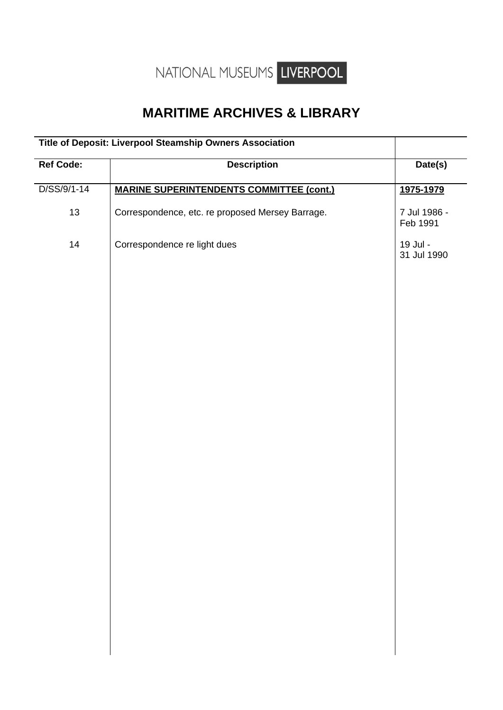| Title of Deposit: Liverpool Steamship Owners Association |                                                  |                          |
|----------------------------------------------------------|--------------------------------------------------|--------------------------|
| <b>Ref Code:</b>                                         | <b>Description</b>                               | Date(s)                  |
| D/SS/9/1-14                                              | <b>MARINE SUPERINTENDENTS COMMITTEE (cont.)</b>  | 1975-1979                |
| 13                                                       | Correspondence, etc. re proposed Mersey Barrage. | 7 Jul 1986 -<br>Feb 1991 |
| 14                                                       | Correspondence re light dues                     | 19 Jul -<br>31 Jul 1990  |
|                                                          |                                                  |                          |
|                                                          |                                                  |                          |
|                                                          |                                                  |                          |
|                                                          |                                                  |                          |
|                                                          |                                                  |                          |
|                                                          |                                                  |                          |
|                                                          |                                                  |                          |
|                                                          |                                                  |                          |
|                                                          |                                                  |                          |
|                                                          |                                                  |                          |
|                                                          |                                                  |                          |
|                                                          |                                                  |                          |
|                                                          |                                                  |                          |
|                                                          |                                                  |                          |
|                                                          |                                                  |                          |
|                                                          |                                                  |                          |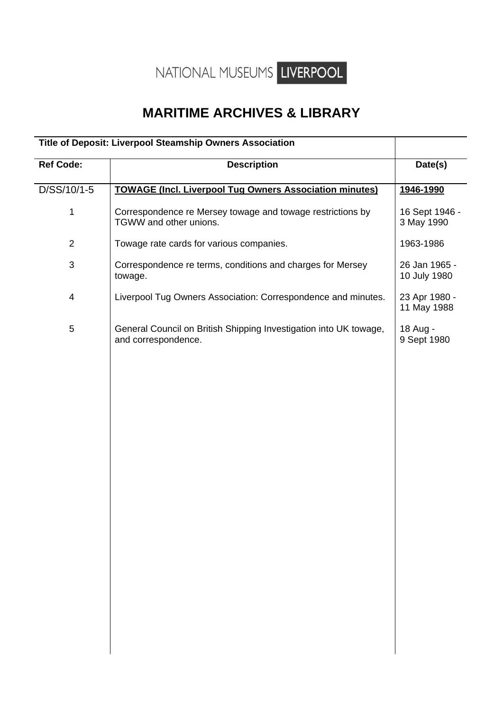| <b>Title of Deposit: Liverpool Steamship Owners Association</b> |                                                                                          |                               |
|-----------------------------------------------------------------|------------------------------------------------------------------------------------------|-------------------------------|
| <b>Ref Code:</b>                                                | <b>Description</b>                                                                       | Date(s)                       |
| D/SS/10/1-5                                                     | <b>TOWAGE (Incl. Liverpool Tug Owners Association minutes)</b>                           | 1946-1990                     |
| 1                                                               | Correspondence re Mersey towage and towage restrictions by<br>TGWW and other unions.     | 16 Sept 1946 -<br>3 May 1990  |
| $\overline{2}$                                                  | Towage rate cards for various companies.                                                 | 1963-1986                     |
| $\sqrt{3}$                                                      | Correspondence re terms, conditions and charges for Mersey<br>towage.                    | 26 Jan 1965 -<br>10 July 1980 |
| $\overline{4}$                                                  | Liverpool Tug Owners Association: Correspondence and minutes.                            | 23 Apr 1980 -<br>11 May 1988  |
| $\,$ 5 $\,$                                                     | General Council on British Shipping Investigation into UK towage,<br>and correspondence. | 18 Aug -<br>9 Sept 1980       |
|                                                                 |                                                                                          |                               |
|                                                                 |                                                                                          |                               |
|                                                                 |                                                                                          |                               |
|                                                                 |                                                                                          |                               |
|                                                                 |                                                                                          |                               |
|                                                                 |                                                                                          |                               |
|                                                                 |                                                                                          |                               |
|                                                                 |                                                                                          |                               |
|                                                                 |                                                                                          |                               |
|                                                                 |                                                                                          |                               |
|                                                                 |                                                                                          |                               |
|                                                                 |                                                                                          |                               |
|                                                                 |                                                                                          |                               |
|                                                                 |                                                                                          |                               |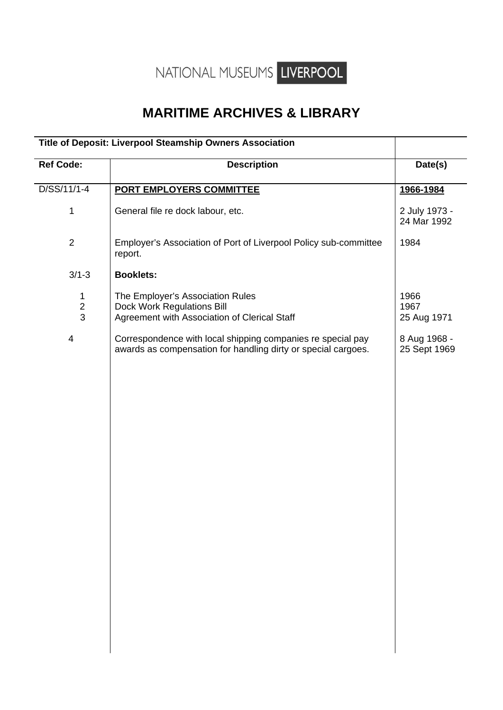| Title of Deposit: Liverpool Steamship Owners Association |                                                                                                                              |                              |
|----------------------------------------------------------|------------------------------------------------------------------------------------------------------------------------------|------------------------------|
| <b>Ref Code:</b>                                         | <b>Description</b>                                                                                                           | Date(s)                      |
| D/SS/11/1-4                                              | <b>PORT EMPLOYERS COMMITTEE</b>                                                                                              | 1966-1984                    |
| 1                                                        | General file re dock labour, etc.                                                                                            | 2 July 1973 -<br>24 Mar 1992 |
| $\sqrt{2}$                                               | Employer's Association of Port of Liverpool Policy sub-committee<br>report.                                                  | 1984                         |
| $3/1 - 3$                                                | <b>Booklets:</b>                                                                                                             |                              |
| $\mathbf{1}$<br>$\frac{2}{3}$                            | The Employer's Association Rules<br>Dock Work Regulations Bill<br>Agreement with Association of Clerical Staff               | 1966<br>1967<br>25 Aug 1971  |
| 4                                                        | Correspondence with local shipping companies re special pay<br>awards as compensation for handling dirty or special cargoes. | 8 Aug 1968 -<br>25 Sept 1969 |
|                                                          |                                                                                                                              |                              |
|                                                          |                                                                                                                              |                              |
|                                                          |                                                                                                                              |                              |
|                                                          |                                                                                                                              |                              |
|                                                          |                                                                                                                              |                              |
|                                                          |                                                                                                                              |                              |
|                                                          |                                                                                                                              |                              |
|                                                          |                                                                                                                              |                              |
|                                                          |                                                                                                                              |                              |
|                                                          |                                                                                                                              |                              |
|                                                          |                                                                                                                              |                              |
|                                                          |                                                                                                                              |                              |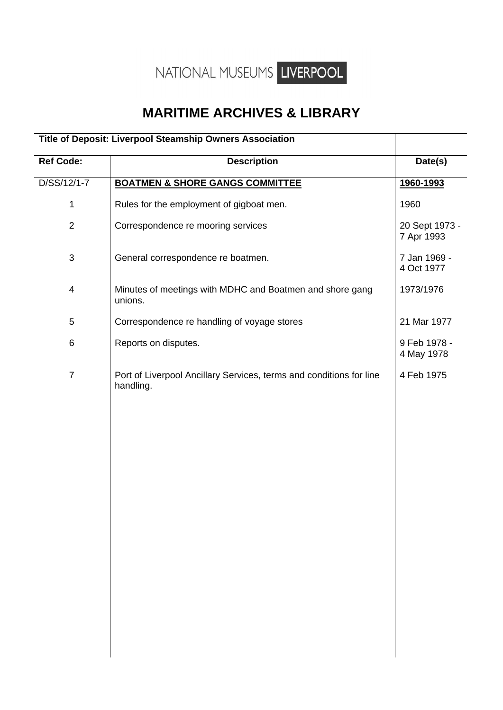| <b>Ref Code:</b><br><b>Description</b><br>Date(s)<br>D/SS/12/1-7<br><b>BOATMEN &amp; SHORE GANGS COMMITTEE</b><br>1960-1993<br>Rules for the employment of gigboat men.<br>1960<br>$\mathbf 1$<br>$\overline{2}$<br>Correspondence re mooring services<br>7 Apr 1993<br>3<br>General correspondence re boatmen.<br>7 Jan 1969 -<br>4 Oct 1977<br>Minutes of meetings with MDHC and Boatmen and shore gang<br>1973/1976<br>$\overline{4}$<br>unions.<br>$\,$ 5 $\,$<br>Correspondence re handling of voyage stores<br>21 Mar 1977<br>$\,6$<br>Reports on disputes.<br>9 Feb 1978 -<br>4 May 1978<br>$\overline{7}$<br>Port of Liverpool Ancillary Services, terms and conditions for line<br>4 Feb 1975<br>handling. | Title of Deposit: Liverpool Steamship Owners Association |  |                |
|---------------------------------------------------------------------------------------------------------------------------------------------------------------------------------------------------------------------------------------------------------------------------------------------------------------------------------------------------------------------------------------------------------------------------------------------------------------------------------------------------------------------------------------------------------------------------------------------------------------------------------------------------------------------------------------------------------------------|----------------------------------------------------------|--|----------------|
|                                                                                                                                                                                                                                                                                                                                                                                                                                                                                                                                                                                                                                                                                                                     |                                                          |  |                |
|                                                                                                                                                                                                                                                                                                                                                                                                                                                                                                                                                                                                                                                                                                                     |                                                          |  |                |
|                                                                                                                                                                                                                                                                                                                                                                                                                                                                                                                                                                                                                                                                                                                     |                                                          |  |                |
|                                                                                                                                                                                                                                                                                                                                                                                                                                                                                                                                                                                                                                                                                                                     |                                                          |  | 20 Sept 1973 - |
|                                                                                                                                                                                                                                                                                                                                                                                                                                                                                                                                                                                                                                                                                                                     |                                                          |  |                |
|                                                                                                                                                                                                                                                                                                                                                                                                                                                                                                                                                                                                                                                                                                                     |                                                          |  |                |
|                                                                                                                                                                                                                                                                                                                                                                                                                                                                                                                                                                                                                                                                                                                     |                                                          |  |                |
|                                                                                                                                                                                                                                                                                                                                                                                                                                                                                                                                                                                                                                                                                                                     |                                                          |  |                |
|                                                                                                                                                                                                                                                                                                                                                                                                                                                                                                                                                                                                                                                                                                                     |                                                          |  |                |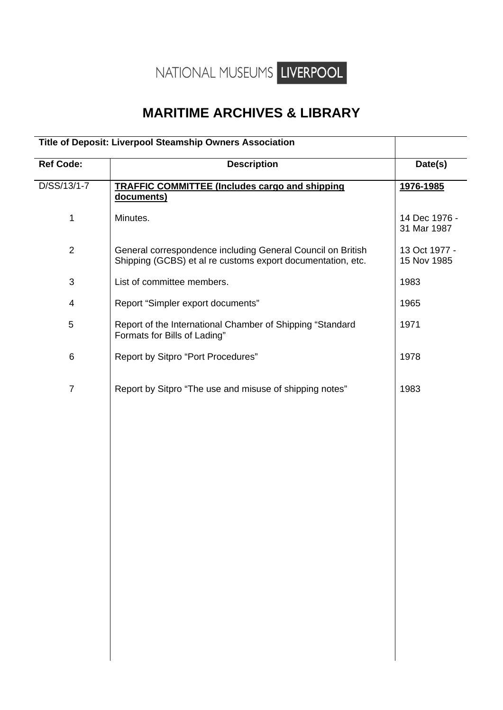| Title of Deposit: Liverpool Steamship Owners Association |                                                                                                                            |                              |
|----------------------------------------------------------|----------------------------------------------------------------------------------------------------------------------------|------------------------------|
| <b>Ref Code:</b>                                         | <b>Description</b>                                                                                                         | Date(s)                      |
| D/SS/13/1-7                                              | <b>TRAFFIC COMMITTEE (Includes cargo and shipping</b><br>documents)                                                        | 1976-1985                    |
| 1                                                        | Minutes.                                                                                                                   | 14 Dec 1976 -<br>31 Mar 1987 |
| $\overline{2}$                                           | General correspondence including General Council on British<br>Shipping (GCBS) et al re customs export documentation, etc. | 13 Oct 1977 -<br>15 Nov 1985 |
| 3                                                        | List of committee members.                                                                                                 | 1983                         |
| 4                                                        | Report "Simpler export documents"                                                                                          | 1965                         |
| $\mathbf 5$                                              | Report of the International Chamber of Shipping "Standard<br>Formats for Bills of Lading"                                  | 1971                         |
| 6                                                        | Report by Sitpro "Port Procedures"                                                                                         | 1978                         |
| $\overline{7}$                                           | Report by Sitpro "The use and misuse of shipping notes"                                                                    | 1983                         |
|                                                          |                                                                                                                            |                              |
|                                                          |                                                                                                                            |                              |
|                                                          |                                                                                                                            |                              |
|                                                          |                                                                                                                            |                              |
|                                                          |                                                                                                                            |                              |
|                                                          |                                                                                                                            |                              |
|                                                          |                                                                                                                            |                              |
|                                                          |                                                                                                                            |                              |
|                                                          |                                                                                                                            |                              |
|                                                          |                                                                                                                            |                              |
|                                                          |                                                                                                                            |                              |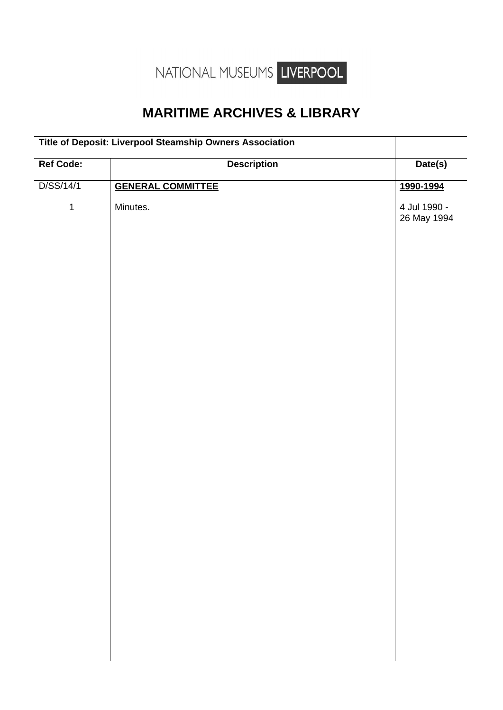| Title of Deposit: Liverpool Steamship Owners Association |                          |                             |
|----------------------------------------------------------|--------------------------|-----------------------------|
| Ref Code:                                                | <b>Description</b>       | Date(s)                     |
| D/SS/14/1                                                | <b>GENERAL COMMITTEE</b> | 1990-1994                   |
| $\mathbf 1$                                              | Minutes.                 | 4 Jul 1990 -<br>26 May 1994 |
|                                                          |                          |                             |
|                                                          |                          |                             |
|                                                          |                          |                             |
|                                                          |                          |                             |
|                                                          |                          |                             |
|                                                          |                          |                             |
|                                                          |                          |                             |
|                                                          |                          |                             |
|                                                          |                          |                             |
|                                                          |                          |                             |
|                                                          |                          |                             |
|                                                          |                          |                             |
|                                                          |                          |                             |
|                                                          |                          |                             |
|                                                          |                          |                             |
|                                                          |                          |                             |
|                                                          |                          |                             |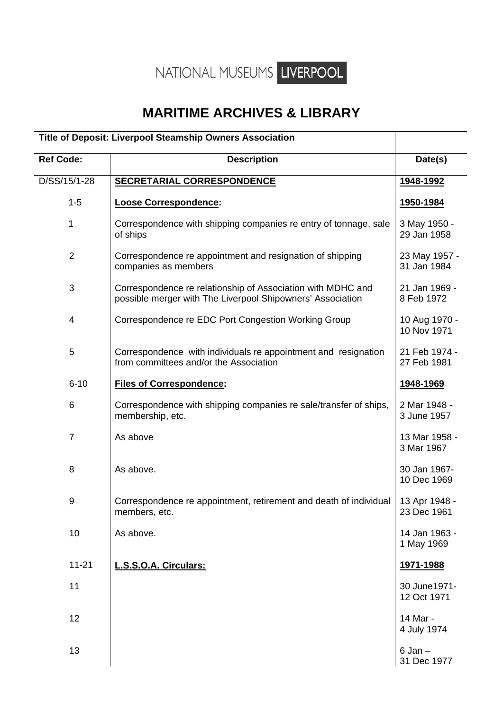| Title of Deposit: Liverpool Steamship Owners Association |                                                                                                                           |                              |
|----------------------------------------------------------|---------------------------------------------------------------------------------------------------------------------------|------------------------------|
| <b>Ref Code:</b>                                         | <b>Description</b>                                                                                                        | Date(s)                      |
| D/SS/15/1-28                                             | <b>SECRETARIAL CORRESPONDENCE</b>                                                                                         | 1948-1992                    |
| $1 - 5$                                                  | <b>Loose Correspondence:</b>                                                                                              | 1950-1984                    |
| 1                                                        | Correspondence with shipping companies re entry of tonnage, sale<br>of ships                                              | 3 May 1950 -<br>29 Jan 1958  |
| $\overline{2}$                                           | Correspondence re appointment and resignation of shipping<br>companies as members                                         | 23 May 1957 -<br>31 Jan 1984 |
| 3                                                        | Correspondence re relationship of Association with MDHC and<br>possible merger with The Liverpool Shipowners' Association | 21 Jan 1969 -<br>8 Feb 1972  |
| $\overline{4}$                                           | Correspondence re EDC Port Congestion Working Group                                                                       | 10 Aug 1970 -<br>10 Nov 1971 |
| 5                                                        | Correspondence with individuals re appointment and resignation<br>from committees and/or the Association                  | 21 Feb 1974 -<br>27 Feb 1981 |
| $6 - 10$                                                 | <b>Files of Correspondence:</b>                                                                                           | 1948-1969                    |
| 6                                                        | Correspondence with shipping companies re sale/transfer of ships,<br>membership, etc.                                     | 2 Mar 1948 -<br>3 June 1957  |
| $\overline{7}$                                           | As above                                                                                                                  | 13 Mar 1958 -<br>3 Mar 1967  |
| 8                                                        | As above.                                                                                                                 | 30 Jan 1967-<br>10 Dec 1969  |
| $9\,$                                                    | Correspondence re appointment, retirement and death of individual<br>members, etc.                                        | 13 Apr 1948 -<br>23 Dec 1961 |
| 10                                                       | As above.                                                                                                                 | 14 Jan 1963 -<br>1 May 1969  |
| $11 - 21$                                                | L.S.S.O.A. Circulars:                                                                                                     | 1971-1988                    |
| 11                                                       |                                                                                                                           | 30 June1971-<br>12 Oct 1971  |
| 12                                                       |                                                                                                                           | 14 Mar -<br>4 July 1974      |
| 13                                                       |                                                                                                                           | $6$ Jan $-$<br>31 Dec 1977   |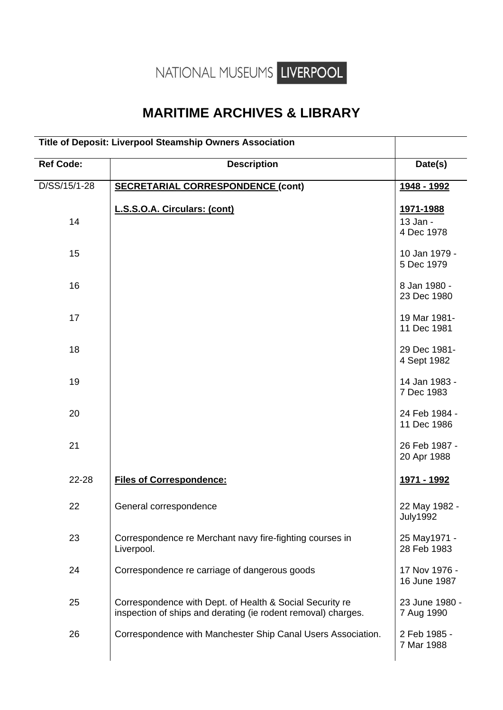| Title of Deposit: Liverpool Steamship Owners Association |                                                                                                                           |                                     |
|----------------------------------------------------------|---------------------------------------------------------------------------------------------------------------------------|-------------------------------------|
| <b>Ref Code:</b>                                         | <b>Description</b>                                                                                                        | Date(s)                             |
| D/SS/15/1-28                                             | <b>SECRETARIAL CORRESPONDENCE (cont)</b>                                                                                  | 1948 - 1992                         |
| 14                                                       | L.S.S.O.A. Circulars: (cont)                                                                                              | 1971-1988<br>13 Jan -<br>4 Dec 1978 |
| 15                                                       |                                                                                                                           | 10 Jan 1979 -<br>5 Dec 1979         |
| 16                                                       |                                                                                                                           | 8 Jan 1980 -<br>23 Dec 1980         |
| 17                                                       |                                                                                                                           | 19 Mar 1981-<br>11 Dec 1981         |
| 18                                                       |                                                                                                                           | 29 Dec 1981-<br>4 Sept 1982         |
| 19                                                       |                                                                                                                           | 14 Jan 1983 -<br>7 Dec 1983         |
| 20                                                       |                                                                                                                           | 24 Feb 1984 -<br>11 Dec 1986        |
| 21                                                       |                                                                                                                           | 26 Feb 1987 -<br>20 Apr 1988        |
| 22-28                                                    | <b>Files of Correspondence:</b>                                                                                           | <u> 1971 - 1992</u>                 |
| 22                                                       | General correspondence                                                                                                    | 22 May 1982 -<br><b>July1992</b>    |
| 23                                                       | Correspondence re Merchant navy fire-fighting courses in<br>Liverpool.                                                    | 25 May 1971 -<br>28 Feb 1983        |
| 24                                                       | Correspondence re carriage of dangerous goods                                                                             | 17 Nov 1976 -<br>16 June 1987       |
| 25                                                       | Correspondence with Dept. of Health & Social Security re<br>inspection of ships and derating (ie rodent removal) charges. | 23 June 1980 -<br>7 Aug 1990        |
| 26                                                       | Correspondence with Manchester Ship Canal Users Association.                                                              | 2 Feb 1985 -<br>7 Mar 1988          |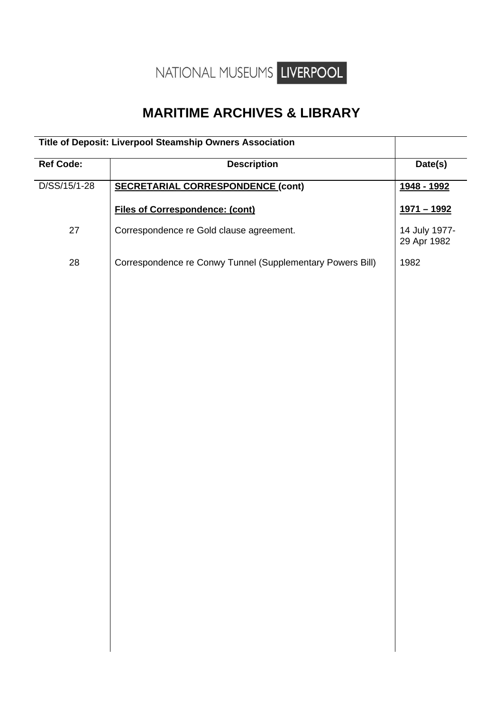| Title of Deposit: Liverpool Steamship Owners Association |                                                            |                              |
|----------------------------------------------------------|------------------------------------------------------------|------------------------------|
| <b>Ref Code:</b>                                         | <b>Description</b>                                         | Date(s)                      |
| D/SS/15/1-28                                             | <b>SECRETARIAL CORRESPONDENCE (cont)</b>                   | 1948 - 1992                  |
|                                                          | <b>Files of Correspondence: (cont)</b>                     | <u> 1971 – 1992</u>          |
| 27                                                       | Correspondence re Gold clause agreement.                   | 14 July 1977-<br>29 Apr 1982 |
| 28                                                       | Correspondence re Conwy Tunnel (Supplementary Powers Bill) | 1982                         |
|                                                          |                                                            |                              |
|                                                          |                                                            |                              |
|                                                          |                                                            |                              |
|                                                          |                                                            |                              |
|                                                          |                                                            |                              |
|                                                          |                                                            |                              |
|                                                          |                                                            |                              |
|                                                          |                                                            |                              |
|                                                          |                                                            |                              |
|                                                          |                                                            |                              |
|                                                          |                                                            |                              |
|                                                          |                                                            |                              |
|                                                          |                                                            |                              |
|                                                          |                                                            |                              |
|                                                          |                                                            |                              |
|                                                          |                                                            |                              |
|                                                          |                                                            |                              |
|                                                          |                                                            |                              |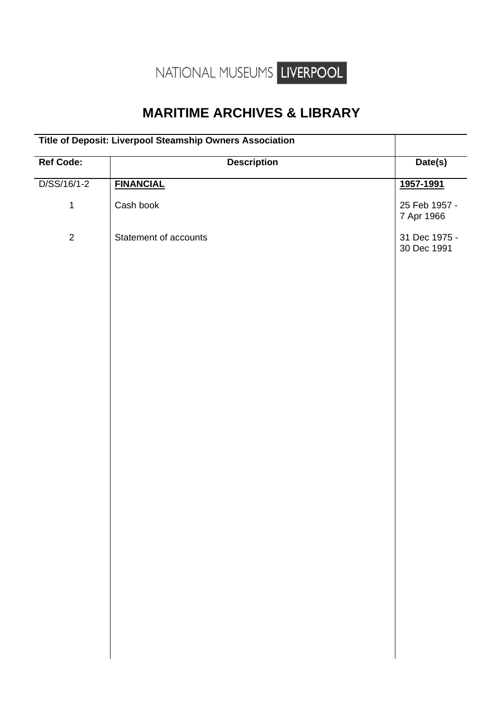| Title of Deposit: Liverpool Steamship Owners Association |                       |                              |
|----------------------------------------------------------|-----------------------|------------------------------|
| <b>Ref Code:</b>                                         | <b>Description</b>    | Date(s)                      |
| D/SS/16/1-2                                              | <b>FINANCIAL</b>      | 1957-1991                    |
| $\mathbf 1$                                              | Cash book             | 25 Feb 1957 -<br>7 Apr 1966  |
| $\sqrt{2}$                                               | Statement of accounts | 31 Dec 1975 -<br>30 Dec 1991 |
|                                                          |                       |                              |
|                                                          |                       |                              |
|                                                          |                       |                              |
|                                                          |                       |                              |
|                                                          |                       |                              |
|                                                          |                       |                              |
|                                                          |                       |                              |
|                                                          |                       |                              |
|                                                          |                       |                              |
|                                                          |                       |                              |
|                                                          |                       |                              |
|                                                          |                       |                              |
|                                                          |                       |                              |
|                                                          |                       |                              |
|                                                          |                       |                              |
|                                                          |                       |                              |
|                                                          |                       |                              |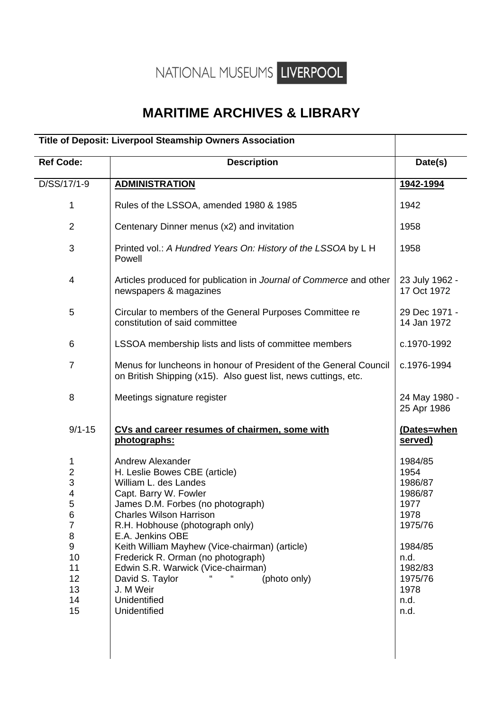| Title of Deposit: Liverpool Steamship Owners Association                                                                        |                                                                                                                                                                                                                                                                                                                                                                                                                                                        |                                                                                                                                   |
|---------------------------------------------------------------------------------------------------------------------------------|--------------------------------------------------------------------------------------------------------------------------------------------------------------------------------------------------------------------------------------------------------------------------------------------------------------------------------------------------------------------------------------------------------------------------------------------------------|-----------------------------------------------------------------------------------------------------------------------------------|
| <b>Ref Code:</b>                                                                                                                | <b>Description</b>                                                                                                                                                                                                                                                                                                                                                                                                                                     | Date(s)                                                                                                                           |
| D/SS/17/1-9                                                                                                                     | <b>ADMINISTRATION</b>                                                                                                                                                                                                                                                                                                                                                                                                                                  | 1942-1994                                                                                                                         |
| 1                                                                                                                               | Rules of the LSSOA, amended 1980 & 1985                                                                                                                                                                                                                                                                                                                                                                                                                | 1942                                                                                                                              |
| $\overline{2}$                                                                                                                  | Centenary Dinner menus (x2) and invitation                                                                                                                                                                                                                                                                                                                                                                                                             | 1958                                                                                                                              |
| 3                                                                                                                               | Printed vol.: A Hundred Years On: History of the LSSOA by L H<br>Powell                                                                                                                                                                                                                                                                                                                                                                                | 1958                                                                                                                              |
| $\overline{4}$                                                                                                                  | Articles produced for publication in Journal of Commerce and other<br>newspapers & magazines                                                                                                                                                                                                                                                                                                                                                           | 23 July 1962 -<br>17 Oct 1972                                                                                                     |
| 5                                                                                                                               | Circular to members of the General Purposes Committee re<br>constitution of said committee                                                                                                                                                                                                                                                                                                                                                             | 29 Dec 1971 -<br>14 Jan 1972                                                                                                      |
| 6                                                                                                                               | LSSOA membership lists and lists of committee members                                                                                                                                                                                                                                                                                                                                                                                                  | c.1970-1992                                                                                                                       |
| $\overline{7}$                                                                                                                  | Menus for luncheons in honour of President of the General Council<br>on British Shipping (x15). Also guest list, news cuttings, etc.                                                                                                                                                                                                                                                                                                                   | c.1976-1994                                                                                                                       |
| 8                                                                                                                               | Meetings signature register                                                                                                                                                                                                                                                                                                                                                                                                                            | 24 May 1980 -<br>25 Apr 1986                                                                                                      |
| $9/1 - 15$                                                                                                                      | CVs and career resumes of chairmen, some with<br>photographs:                                                                                                                                                                                                                                                                                                                                                                                          | (Dates=when<br><u>served)</u>                                                                                                     |
| 1<br>$\overline{c}$<br>$\ensuremath{\mathsf{3}}$<br>4<br>5<br>6<br>$\overline{7}$<br>8<br>9<br>10<br>11<br>12<br>13<br>14<br>15 | <b>Andrew Alexander</b><br>H. Leslie Bowes CBE (article)<br>William L. des Landes<br>Capt. Barry W. Fowler<br>James D.M. Forbes (no photograph)<br><b>Charles Wilson Harrison</b><br>R.H. Hobhouse (photograph only)<br>E.A. Jenkins OBE<br>Keith William Mayhew (Vice-chairman) (article)<br>Frederick R. Orman (no photograph)<br>Edwin S.R. Warwick (Vice-chairman)<br>(photo only)<br>David S. Taylor<br>J. M Weir<br>Unidentified<br>Unidentified | 1984/85<br>1954<br>1986/87<br>1986/87<br>1977<br>1978<br>1975/76<br>1984/85<br>n.d.<br>1982/83<br>1975/76<br>1978<br>n.d.<br>n.d. |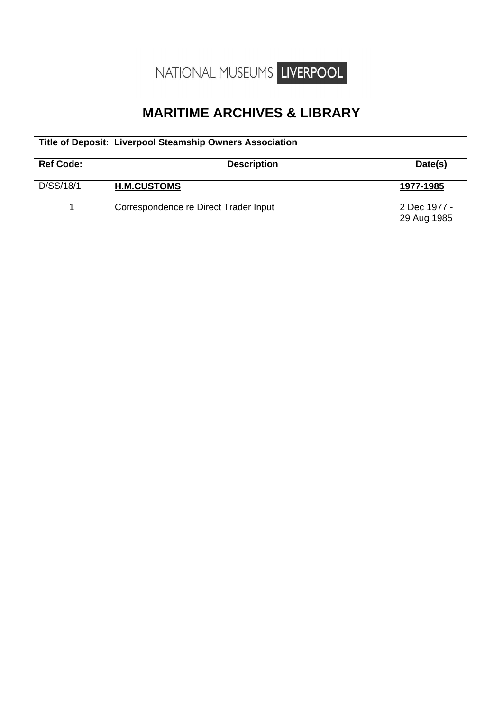|                  | Title of Deposit: Liverpool Steamship Owners Association |                             |
|------------------|----------------------------------------------------------|-----------------------------|
| <b>Ref Code:</b> | <b>Description</b>                                       | Date(s)                     |
| D/SS/18/1        | <b>H.M.CUSTOMS</b>                                       | 1977-1985                   |
| $\mathbf 1$      | Correspondence re Direct Trader Input                    | 2 Dec 1977 -<br>29 Aug 1985 |
|                  |                                                          |                             |
|                  |                                                          |                             |
|                  |                                                          |                             |
|                  |                                                          |                             |
|                  |                                                          |                             |
|                  |                                                          |                             |
|                  |                                                          |                             |
|                  |                                                          |                             |
|                  |                                                          |                             |
|                  |                                                          |                             |
|                  |                                                          |                             |
|                  |                                                          |                             |
|                  |                                                          |                             |
|                  |                                                          |                             |
|                  |                                                          |                             |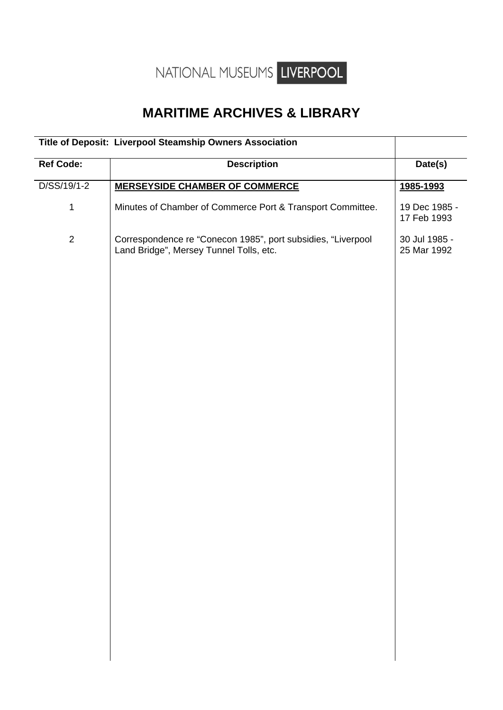|                  | Title of Deposit: Liverpool Steamship Owners Association                                                |                              |
|------------------|---------------------------------------------------------------------------------------------------------|------------------------------|
| <b>Ref Code:</b> | <b>Description</b>                                                                                      | Date(s)                      |
| D/SS/19/1-2      | <b>MERSEYSIDE CHAMBER OF COMMERCE</b>                                                                   | 1985-1993                    |
| $\mathbf 1$      | Minutes of Chamber of Commerce Port & Transport Committee.                                              | 19 Dec 1985 -<br>17 Feb 1993 |
| $\overline{2}$   | Correspondence re "Conecon 1985", port subsidies, "Liverpool<br>Land Bridge", Mersey Tunnel Tolls, etc. | 30 Jul 1985 -<br>25 Mar 1992 |
|                  |                                                                                                         |                              |
|                  |                                                                                                         |                              |
|                  |                                                                                                         |                              |
|                  |                                                                                                         |                              |
|                  |                                                                                                         |                              |
|                  |                                                                                                         |                              |
|                  |                                                                                                         |                              |
|                  |                                                                                                         |                              |
|                  |                                                                                                         |                              |
|                  |                                                                                                         |                              |
|                  |                                                                                                         |                              |
|                  |                                                                                                         |                              |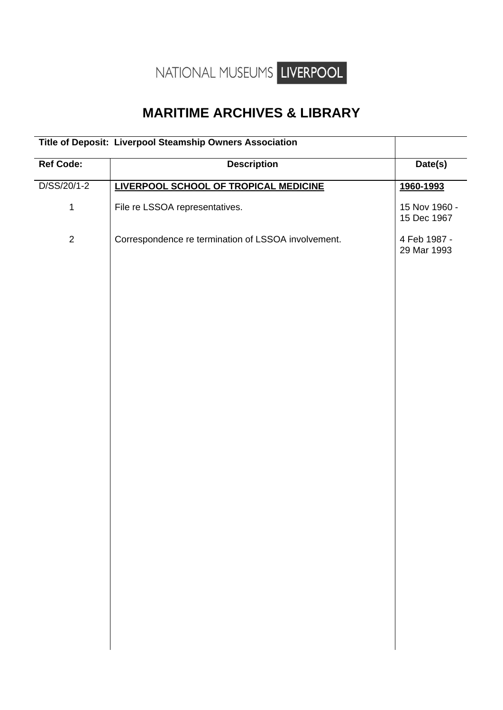|                | Title of Deposit: Liverpool Steamship Owners Association |                              |
|----------------|----------------------------------------------------------|------------------------------|
| Ref Code:      | <b>Description</b>                                       | Date(s)                      |
| D/SS/20/1-2    | LIVERPOOL SCHOOL OF TROPICAL MEDICINE                    | 1960-1993                    |
| $\mathbf 1$    | File re LSSOA representatives.                           | 15 Nov 1960 -<br>15 Dec 1967 |
| $\overline{2}$ | Correspondence re termination of LSSOA involvement.      | 4 Feb 1987 -<br>29 Mar 1993  |
|                |                                                          |                              |
|                |                                                          |                              |
|                |                                                          |                              |
|                |                                                          |                              |
|                |                                                          |                              |
|                |                                                          |                              |
|                |                                                          |                              |
|                |                                                          |                              |
|                |                                                          |                              |
|                |                                                          |                              |
|                |                                                          |                              |
|                |                                                          |                              |
|                |                                                          |                              |
|                |                                                          |                              |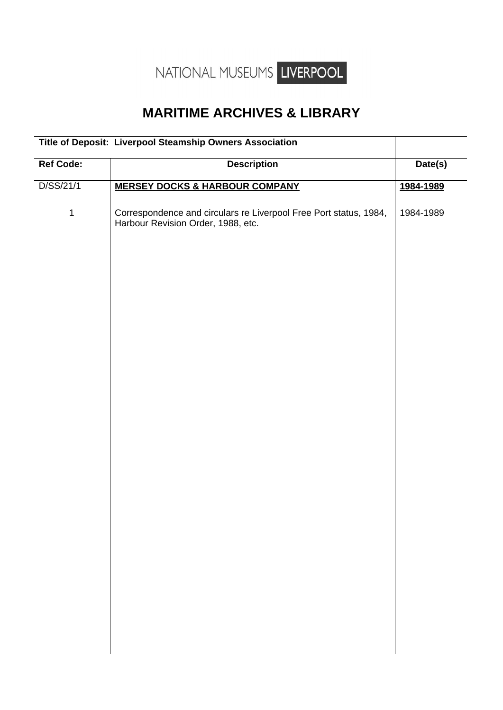|                  | Title of Deposit: Liverpool Steamship Owners Association                                                |           |
|------------------|---------------------------------------------------------------------------------------------------------|-----------|
| <b>Ref Code:</b> | <b>Description</b>                                                                                      | Date(s)   |
| D/SS/21/1        | <b>MERSEY DOCKS &amp; HARBOUR COMPANY</b>                                                               | 1984-1989 |
| $\mathbf 1$      | Correspondence and circulars re Liverpool Free Port status, 1984,<br>Harbour Revision Order, 1988, etc. | 1984-1989 |
|                  |                                                                                                         |           |
|                  |                                                                                                         |           |
|                  |                                                                                                         |           |
|                  |                                                                                                         |           |
|                  |                                                                                                         |           |
|                  |                                                                                                         |           |
|                  |                                                                                                         |           |
|                  |                                                                                                         |           |
|                  |                                                                                                         |           |
|                  |                                                                                                         |           |
|                  |                                                                                                         |           |
|                  |                                                                                                         |           |
|                  |                                                                                                         |           |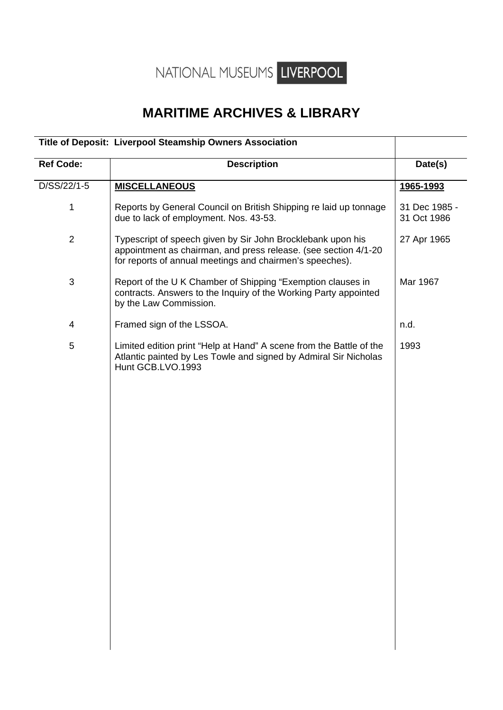|                  | Title of Deposit: Liverpool Steamship Owners Association                                                                                                                                   |                              |
|------------------|--------------------------------------------------------------------------------------------------------------------------------------------------------------------------------------------|------------------------------|
| <b>Ref Code:</b> | <b>Description</b>                                                                                                                                                                         | Date(s)                      |
| D/SS/22/1-5      | <b>MISCELLANEOUS</b>                                                                                                                                                                       | 1965-1993                    |
| 1                | Reports by General Council on British Shipping re laid up tonnage<br>due to lack of employment. Nos. 43-53.                                                                                | 31 Dec 1985 -<br>31 Oct 1986 |
| $\overline{2}$   | Typescript of speech given by Sir John Brocklebank upon his<br>appointment as chairman, and press release. (see section 4/1-20<br>for reports of annual meetings and chairmen's speeches). | 27 Apr 1965                  |
| 3                | Report of the U K Chamber of Shipping "Exemption clauses in<br>contracts. Answers to the Inquiry of the Working Party appointed<br>by the Law Commission.                                  | Mar 1967                     |
| 4                | Framed sign of the LSSOA.                                                                                                                                                                  | n.d.                         |
| 5                | Limited edition print "Help at Hand" A scene from the Battle of the<br>Atlantic painted by Les Towle and signed by Admiral Sir Nicholas<br>Hunt GCB.LVO.1993                               | 1993                         |
|                  |                                                                                                                                                                                            |                              |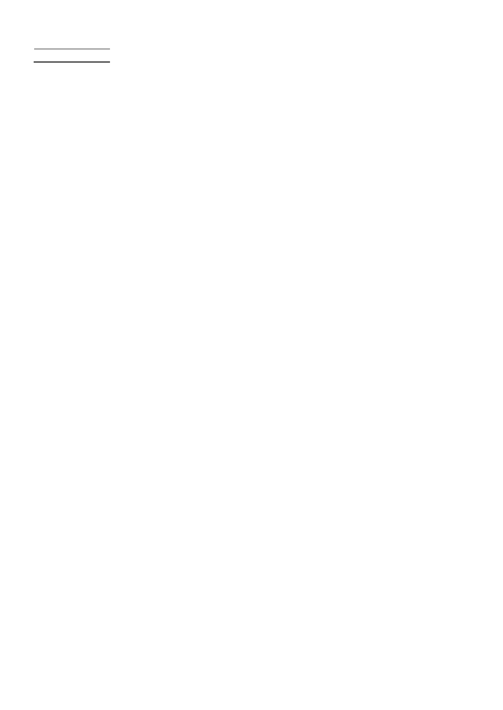J.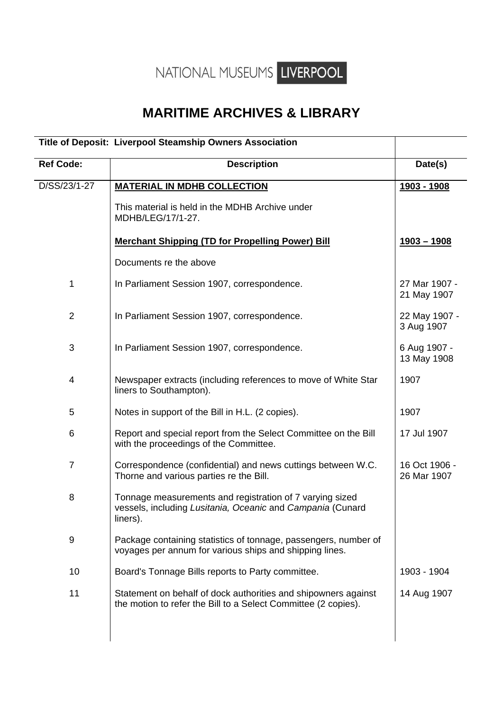|                  | Title of Deposit: Liverpool Steamship Owners Association                                                                           |                              |
|------------------|------------------------------------------------------------------------------------------------------------------------------------|------------------------------|
| <b>Ref Code:</b> | <b>Description</b>                                                                                                                 | Date(s)                      |
| D/SS/23/1-27     | <b>MATERIAL IN MDHB COLLECTION</b>                                                                                                 | 1903 - 1908                  |
|                  | This material is held in the MDHB Archive under<br>MDHB/LEG/17/1-27.                                                               |                              |
|                  | <b>Merchant Shipping (TD for Propelling Power) Bill</b>                                                                            | <u> 1903 – 1908</u>          |
|                  | Documents re the above                                                                                                             |                              |
| 1                | In Parliament Session 1907, correspondence.                                                                                        | 27 Mar 1907 -<br>21 May 1907 |
| $\overline{2}$   | In Parliament Session 1907, correspondence.                                                                                        | 22 May 1907 -<br>3 Aug 1907  |
| 3                | In Parliament Session 1907, correspondence.                                                                                        | 6 Aug 1907 -<br>13 May 1908  |
| 4                | Newspaper extracts (including references to move of White Star<br>liners to Southampton).                                          | 1907                         |
| 5                | Notes in support of the Bill in H.L. (2 copies).                                                                                   | 1907                         |
| 6                | Report and special report from the Select Committee on the Bill<br>with the proceedings of the Committee.                          | 17 Jul 1907                  |
| $\overline{7}$   | Correspondence (confidential) and news cuttings between W.C.<br>Thorne and various parties re the Bill.                            | 16 Oct 1906 -<br>26 Mar 1907 |
| 8                | Tonnage measurements and registration of 7 varying sized<br>vessels, including Lusitania, Oceanic and Campania (Cunard<br>liners). |                              |
| 9                | Package containing statistics of tonnage, passengers, number of<br>voyages per annum for various ships and shipping lines.         |                              |
| 10               | Board's Tonnage Bills reports to Party committee.                                                                                  | 1903 - 1904                  |
| 11               | Statement on behalf of dock authorities and shipowners against<br>the motion to refer the Bill to a Select Committee (2 copies).   | 14 Aug 1907                  |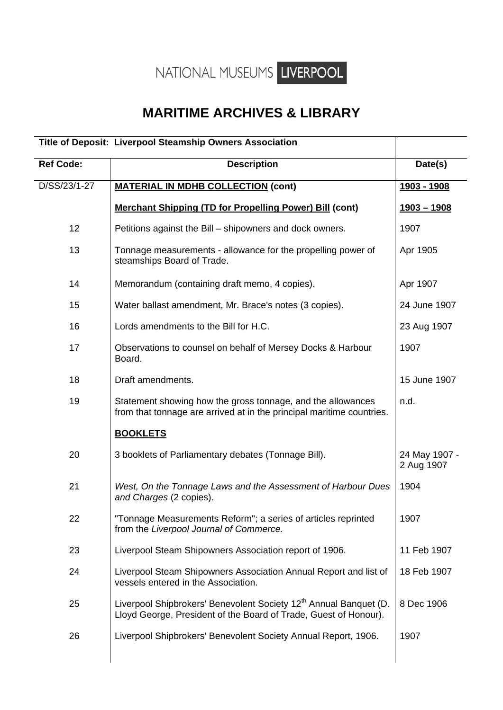| Title of Deposit: Liverpool Steamship Owners Association |                                                                                                                                                   |                             |
|----------------------------------------------------------|---------------------------------------------------------------------------------------------------------------------------------------------------|-----------------------------|
| <b>Ref Code:</b>                                         | <b>Description</b>                                                                                                                                | Date(s)                     |
| D/SS/23/1-27                                             | <b>MATERIAL IN MDHB COLLECTION (cont)</b>                                                                                                         | 1903 - 1908                 |
|                                                          | <b>Merchant Shipping (TD for Propelling Power) Bill (cont)</b>                                                                                    | $1903 - 1908$               |
| 12                                                       | Petitions against the Bill – shipowners and dock owners.                                                                                          | 1907                        |
| 13                                                       | Tonnage measurements - allowance for the propelling power of<br>steamships Board of Trade.                                                        | Apr 1905                    |
| 14                                                       | Memorandum (containing draft memo, 4 copies).                                                                                                     | Apr 1907                    |
| 15                                                       | Water ballast amendment, Mr. Brace's notes (3 copies).                                                                                            | 24 June 1907                |
| 16                                                       | Lords amendments to the Bill for H.C.                                                                                                             | 23 Aug 1907                 |
| 17                                                       | Observations to counsel on behalf of Mersey Docks & Harbour<br>Board.                                                                             | 1907                        |
| 18                                                       | Draft amendments.                                                                                                                                 | 15 June 1907                |
| 19                                                       | Statement showing how the gross tonnage, and the allowances<br>from that tonnage are arrived at in the principal maritime countries.              | n.d.                        |
|                                                          | <b>BOOKLETS</b>                                                                                                                                   |                             |
| 20                                                       | 3 booklets of Parliamentary debates (Tonnage Bill).                                                                                               | 24 May 1907 -<br>2 Aug 1907 |
| 21                                                       | West, On the Tonnage Laws and the Assessment of Harbour Dues<br>and Charges (2 copies).                                                           | 1904                        |
| 22                                                       | "Tonnage Measurements Reform"; a series of articles reprinted<br>from the Liverpool Journal of Commerce.                                          | 1907                        |
| 23                                                       | Liverpool Steam Shipowners Association report of 1906.                                                                                            | 11 Feb 1907                 |
| 24                                                       | Liverpool Steam Shipowners Association Annual Report and list of<br>vessels entered in the Association.                                           | 18 Feb 1907                 |
| 25                                                       | Liverpool Shipbrokers' Benevolent Society 12 <sup>th</sup> Annual Banquet (D.<br>Lloyd George, President of the Board of Trade, Guest of Honour). | 8 Dec 1906                  |
| 26                                                       | Liverpool Shipbrokers' Benevolent Society Annual Report, 1906.                                                                                    | 1907                        |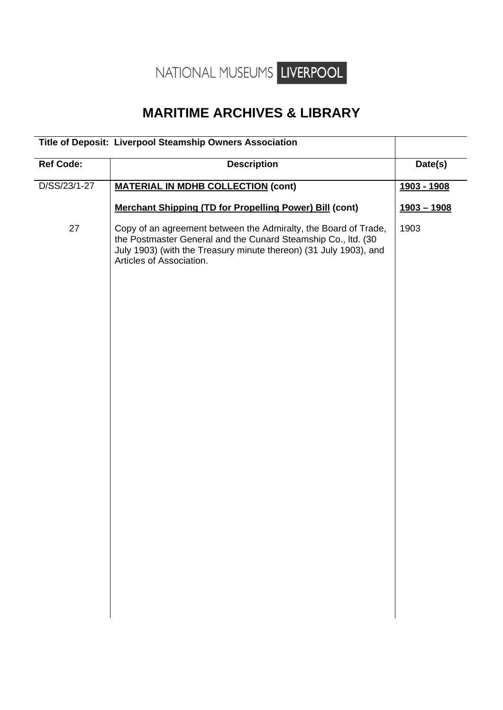| Title of Deposit: Liverpool Steamship Owners Association |                                                                                                                                                                                                                                   |               |
|----------------------------------------------------------|-----------------------------------------------------------------------------------------------------------------------------------------------------------------------------------------------------------------------------------|---------------|
| <b>Ref Code:</b>                                         | <b>Description</b>                                                                                                                                                                                                                | Date(s)       |
| D/SS/23/1-27                                             | <b>MATERIAL IN MDHB COLLECTION (cont)</b>                                                                                                                                                                                         | 1903 - 1908   |
|                                                          | <b>Merchant Shipping (TD for Propelling Power) Bill (cont)</b>                                                                                                                                                                    | $1903 - 1908$ |
| 27                                                       | Copy of an agreement between the Admiralty, the Board of Trade,<br>the Postmaster General and the Cunard Steamship Co., Itd. (30<br>July 1903) (with the Treasury minute thereon) (31 July 1903), and<br>Articles of Association. | 1903          |
|                                                          |                                                                                                                                                                                                                                   |               |
|                                                          |                                                                                                                                                                                                                                   |               |
|                                                          |                                                                                                                                                                                                                                   |               |
|                                                          |                                                                                                                                                                                                                                   |               |
|                                                          |                                                                                                                                                                                                                                   |               |
|                                                          |                                                                                                                                                                                                                                   |               |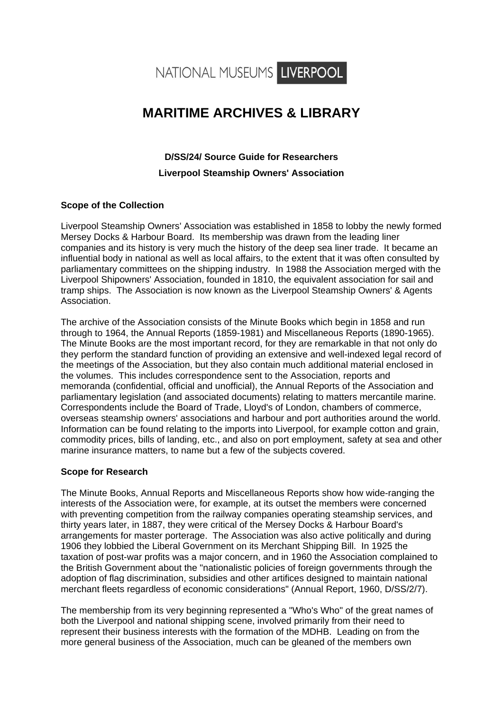#### **MARITIME ARCHIVES & LIBRARY**

#### **D/SS/24/ Source Guide for Researchers Liverpool Steamship Owners' Association**

#### **Scope of the Collection**

Liverpool Steamship Owners' Association was established in 1858 to lobby the newly formed Mersey Docks & Harbour Board. Its membership was drawn from the leading liner companies and its history is very much the history of the deep sea liner trade. It became an influential body in national as well as local affairs, to the extent that it was often consulted by parliamentary committees on the shipping industry. In 1988 the Association merged with the Liverpool Shipowners' Association, founded in 1810, the equivalent association for sail and tramp ships. The Association is now known as the Liverpool Steamship Owners' & Agents Association.

The archive of the Association consists of the Minute Books which begin in 1858 and run through to 1964, the Annual Reports (1859-1981) and Miscellaneous Reports (1890-1965). The Minute Books are the most important record, for they are remarkable in that not only do they perform the standard function of providing an extensive and well-indexed legal record of the meetings of the Association, but they also contain much additional material enclosed in the volumes. This includes correspondence sent to the Association, reports and memoranda (confidential, official and unofficial), the Annual Reports of the Association and parliamentary legislation (and associated documents) relating to matters mercantile marine. Correspondents include the Board of Trade, Lloyd's of London, chambers of commerce, overseas steamship owners' associations and harbour and port authorities around the world. Information can be found relating to the imports into Liverpool, for example cotton and grain, commodity prices, bills of landing, etc., and also on port employment, safety at sea and other marine insurance matters, to name but a few of the subjects covered.

#### **Scope for Research**

The Minute Books, Annual Reports and Miscellaneous Reports show how wide-ranging the interests of the Association were, for example, at its outset the members were concerned with preventing competition from the railway companies operating steamship services, and thirty years later, in 1887, they were critical of the Mersey Docks & Harbour Board's arrangements for master porterage. The Association was also active politically and during 1906 they lobbied the Liberal Government on its Merchant Shipping Bill. In 1925 the taxation of post-war profits was a major concern, and in 1960 the Association complained to the British Government about the "nationalistic policies of foreign governments through the adoption of flag discrimination, subsidies and other artifices designed to maintain national merchant fleets regardless of economic considerations" (Annual Report, 1960, D/SS/2/7).

The membership from its very beginning represented a "Who's Who" of the great names of both the Liverpool and national shipping scene, involved primarily from their need to represent their business interests with the formation of the MDHB. Leading on from the more general business of the Association, much can be gleaned of the members own